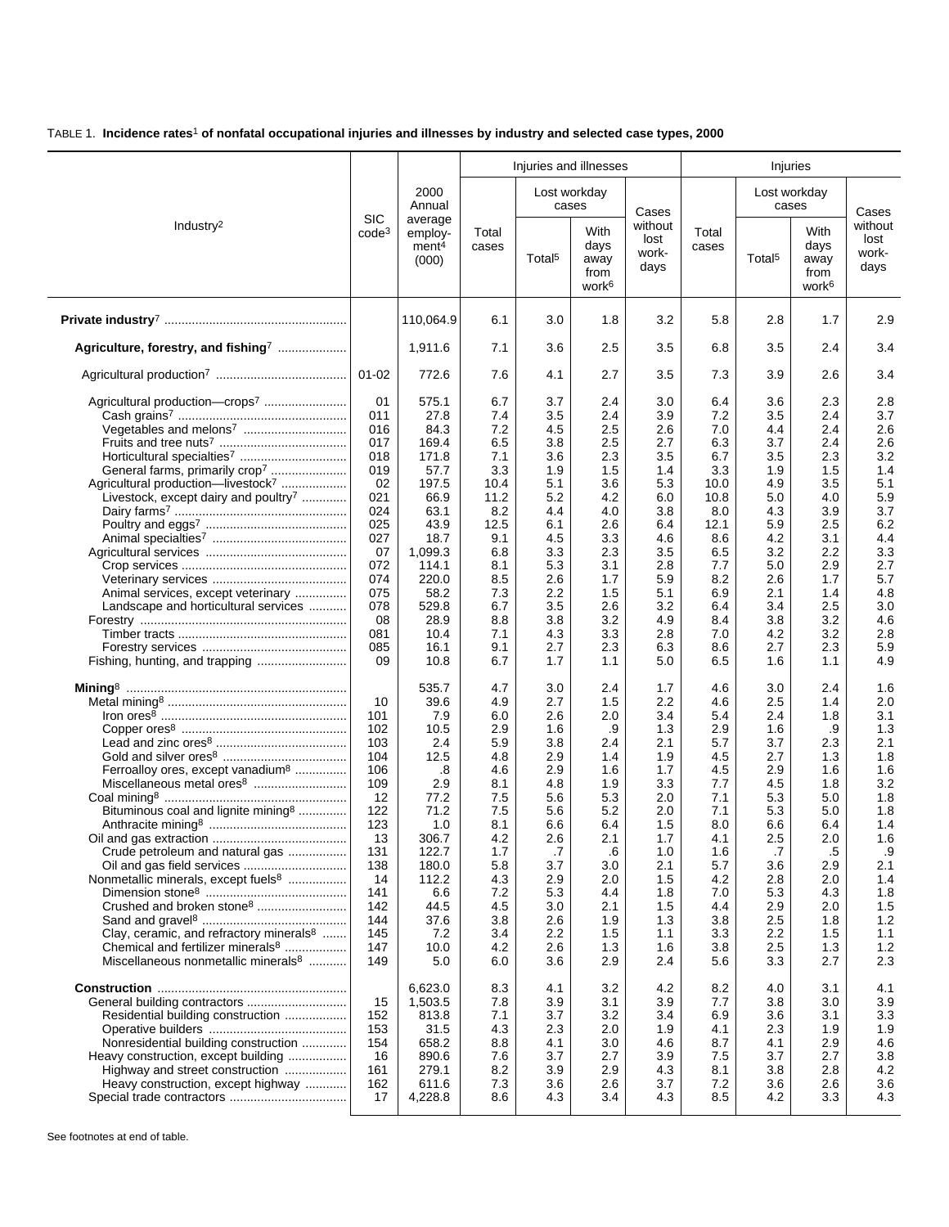|                                                                                                                                                                                                                                                                                                                                                                                                                                       |                                                                                                                                      |                                                                                                                                                                        |                                                                                                                                                 |                                                                                                                                                | Injuries and illnesses                                                                                                                        |                                                                                                                                                 |                                                                                                                                                 |                                                                                                                                                | Injuries                                                                                                                                      |                                                                                                                                                |
|---------------------------------------------------------------------------------------------------------------------------------------------------------------------------------------------------------------------------------------------------------------------------------------------------------------------------------------------------------------------------------------------------------------------------------------|--------------------------------------------------------------------------------------------------------------------------------------|------------------------------------------------------------------------------------------------------------------------------------------------------------------------|-------------------------------------------------------------------------------------------------------------------------------------------------|------------------------------------------------------------------------------------------------------------------------------------------------|-----------------------------------------------------------------------------------------------------------------------------------------------|-------------------------------------------------------------------------------------------------------------------------------------------------|-------------------------------------------------------------------------------------------------------------------------------------------------|------------------------------------------------------------------------------------------------------------------------------------------------|-----------------------------------------------------------------------------------------------------------------------------------------------|------------------------------------------------------------------------------------------------------------------------------------------------|
|                                                                                                                                                                                                                                                                                                                                                                                                                                       |                                                                                                                                      | 2000<br>Annual                                                                                                                                                         |                                                                                                                                                 |                                                                                                                                                | Lost workday<br>cases                                                                                                                         | Cases                                                                                                                                           |                                                                                                                                                 |                                                                                                                                                | Lost workday<br>cases                                                                                                                         | Cases                                                                                                                                          |
| Industry <sup>2</sup>                                                                                                                                                                                                                                                                                                                                                                                                                 | <b>SIC</b><br>code <sup>3</sup>                                                                                                      | average<br>employ-<br>ment <sup>4</sup><br>(000)                                                                                                                       | Total<br>cases                                                                                                                                  | Total <sup>5</sup>                                                                                                                             | With<br>days<br>away<br>from<br>work <sup>6</sup>                                                                                             | without<br>lost<br>work-<br>days                                                                                                                | Total<br>cases                                                                                                                                  | Total <sup>5</sup>                                                                                                                             | With<br>days<br>away<br>from<br>work <sup>6</sup>                                                                                             | without<br>lost<br>work-<br>days                                                                                                               |
|                                                                                                                                                                                                                                                                                                                                                                                                                                       |                                                                                                                                      | 110,064.9                                                                                                                                                              | 6.1                                                                                                                                             | 3.0                                                                                                                                            | 1.8                                                                                                                                           | 3.2                                                                                                                                             | 5.8                                                                                                                                             | 2.8                                                                                                                                            | 1.7                                                                                                                                           | 2.9                                                                                                                                            |
| Agriculture, forestry, and fishing7                                                                                                                                                                                                                                                                                                                                                                                                   |                                                                                                                                      | 1,911.6                                                                                                                                                                | 7.1                                                                                                                                             | 3.6                                                                                                                                            | 2.5                                                                                                                                           | 3.5                                                                                                                                             | 6.8                                                                                                                                             | 3.5                                                                                                                                            | 2.4                                                                                                                                           | 3.4                                                                                                                                            |
|                                                                                                                                                                                                                                                                                                                                                                                                                                       | $01 - 02$                                                                                                                            | 772.6                                                                                                                                                                  | 7.6                                                                                                                                             | 4.1                                                                                                                                            | 2.7                                                                                                                                           | 3.5                                                                                                                                             | 7.3                                                                                                                                             | 3.9                                                                                                                                            | 2.6                                                                                                                                           | 3.4                                                                                                                                            |
| Agricultural production-crops <sup>7</sup><br>Horticultural specialties <sup>7</sup><br>General farms, primarily crop7<br>Agricultural production-livestock7<br>Livestock, except dairy and poultry <sup>7</sup><br>Animal services, except veterinary<br>Landscape and horticultural services<br>Fishing, hunting, and trapping                                                                                                      | 01<br>011<br>016<br>017<br>018<br>019<br>02<br>021<br>024<br>025<br>027<br>07<br>072<br>074<br>075<br>078<br>08<br>081<br>085<br>09  | 575.1<br>27.8<br>84.3<br>169.4<br>171.8<br>57.7<br>197.5<br>66.9<br>63.1<br>43.9<br>18.7<br>1,099.3<br>114.1<br>220.0<br>58.2<br>529.8<br>28.9<br>10.4<br>16.1<br>10.8 | 6.7<br>7.4<br>7.2<br>6.5<br>7.1<br>3.3<br>10.4<br>11.2<br>8.2<br>12.5<br>9.1<br>6.8<br>8.1<br>8.5<br>7.3<br>6.7<br>8.8<br>7.1<br>9.1<br>6.7     | 3.7<br>3.5<br>4.5<br>3.8<br>3.6<br>1.9<br>5.1<br>5.2<br>4.4<br>6.1<br>4.5<br>3.3<br>5.3<br>2.6<br>2.2<br>3.5<br>3.8<br>4.3<br>2.7<br>1.7       | 2.4<br>2.4<br>2.5<br>2.5<br>2.3<br>1.5<br>3.6<br>4.2<br>4.0<br>2.6<br>3.3<br>2.3<br>3.1<br>1.7<br>1.5<br>2.6<br>3.2<br>3.3<br>2.3<br>1.1      | 3.0<br>3.9<br>2.6<br>2.7<br>3.5<br>1.4<br>5.3<br>6.0<br>3.8<br>6.4<br>4.6<br>3.5<br>2.8<br>5.9<br>5.1<br>3.2<br>4.9<br>2.8<br>6.3<br>5.0        | 6.4<br>7.2<br>7.0<br>6.3<br>6.7<br>3.3<br>10.0<br>10.8<br>8.0<br>12.1<br>8.6<br>6.5<br>7.7<br>8.2<br>6.9<br>6.4<br>8.4<br>7.0<br>8.6<br>6.5     | 3.6<br>3.5<br>4.4<br>3.7<br>3.5<br>1.9<br>4.9<br>5.0<br>4.3<br>5.9<br>4.2<br>3.2<br>5.0<br>2.6<br>2.1<br>3.4<br>3.8<br>4.2<br>2.7<br>1.6       | 2.3<br>2.4<br>2.4<br>2.4<br>2.3<br>1.5<br>3.5<br>4.0<br>3.9<br>2.5<br>3.1<br>2.2<br>2.9<br>1.7<br>1.4<br>2.5<br>3.2<br>3.2<br>2.3<br>1.1      | 2.8<br>3.7<br>2.6<br>2.6<br>3.2<br>1.4<br>5.1<br>5.9<br>3.7<br>6.2<br>4.4<br>3.3<br>2.7<br>5.7<br>4.8<br>3.0<br>4.6<br>2.8<br>5.9<br>4.9       |
| Mining $8$<br>Ferroalloy ores, except vanadium <sup>8</sup><br>Miscellaneous metal ores <sup>8</sup><br>Bituminous coal and lignite mining <sup>8</sup><br>Crude petroleum and natural gas<br>Nonmetallic minerals, except fuels8<br>Crushed and broken stone <sup>8</sup><br>Clay, ceramic, and refractory minerals <sup>8</sup><br>Chemical and fertilizer minerals <sup>8</sup><br>Miscellaneous nonmetallic minerals <sup>8</sup> | 10<br>101<br>102<br>103<br>104<br>106<br>109<br>12<br>122<br>123<br>13<br>131<br>138<br>14<br>141<br>142<br>144<br>145<br>147<br>149 | 535.7<br>39.6<br>7.9<br>10.5<br>2.4<br>12.5<br>.8<br>2.9<br>77.2<br>71.2<br>1.0<br>306.7<br>122.7<br>180.0<br>112.2<br>6.6<br>44.5<br>37.6<br>7.2<br>10.0<br>5.0       | 4.7<br>4.9<br>6.0<br>2.9<br>5.9<br>4.8<br>4.6<br>8.1<br>7.5<br>7.5<br>8.1<br>4.2<br>1.7<br>5.8<br>4.3<br>7.2<br>4.5<br>3.8<br>3.4<br>4.2<br>6.0 | 3.0<br>2.7<br>2.6<br>1.6<br>3.8<br>2.9<br>2.9<br>4.8<br>5.6<br>5.6<br>6.6<br>2.6<br>.7<br>3.7<br>2.9<br>5.3<br>3.0<br>2.6<br>2.2<br>2.6<br>3.6 | 2.4<br>1.5<br>2.0<br>.9<br>2.4<br>1.4<br>1.6<br>1.9<br>5.3<br>5.2<br>6.4<br>2.1<br>.6<br>3.0<br>2.0<br>4.4<br>2.1<br>1.9<br>1.5<br>1.3<br>2.9 | 1.7<br>2.2<br>3.4<br>1.3<br>2.1<br>1.9<br>1.7<br>3.3<br>2.0<br>2.0<br>1.5<br>1.7<br>1.0<br>2.1<br>1.5<br>1.8<br>1.5<br>1.3<br>1.1<br>1.6<br>2.4 | 4.6<br>4.6<br>5.4<br>2.9<br>5.7<br>4.5<br>4.5<br>7.7<br>7.1<br>7.1<br>8.0<br>4.1<br>1.6<br>5.7<br>4.2<br>7.0<br>4.4<br>3.8<br>3.3<br>3.8<br>5.6 | 3.0<br>2.5<br>2.4<br>1.6<br>3.7<br>2.7<br>2.9<br>4.5<br>5.3<br>5.3<br>6.6<br>2.5<br>.7<br>3.6<br>2.8<br>5.3<br>2.9<br>2.5<br>2.2<br>2.5<br>3.3 | 2.4<br>1.4<br>1.8<br>.9<br>2.3<br>1.3<br>1.6<br>1.8<br>5.0<br>5.0<br>6.4<br>2.0<br>.5<br>2.9<br>2.0<br>4.3<br>2.0<br>1.8<br>1.5<br>1.3<br>2.7 | 1.6<br>2.0<br>3.1<br>1.3<br>2.1<br>1.8<br>1.6<br>3.2<br>1.8<br>1.8<br>1.4<br>1.6<br>.9<br>2.1<br>1.4<br>1.8<br>1.5<br>1.2<br>1.1<br>1.2<br>2.3 |
| Residential building construction<br>Nonresidential building construction<br>Heavy construction, except building<br>Highway and street construction<br>Heavy construction, except highway                                                                                                                                                                                                                                             | 15<br>152<br>153<br>154<br>16<br>161<br>162<br>17                                                                                    | 6,623.0<br>1,503.5<br>813.8<br>31.5<br>658.2<br>890.6<br>279.1<br>611.6<br>4,228.8                                                                                     | 8.3<br>7.8<br>7.1<br>4.3<br>8.8<br>7.6<br>8.2<br>7.3<br>8.6                                                                                     | 4.1<br>3.9<br>3.7<br>2.3<br>4.1<br>3.7<br>3.9<br>3.6<br>4.3                                                                                    | 3.2<br>3.1<br>3.2<br>2.0<br>3.0<br>2.7<br>2.9<br>2.6<br>3.4                                                                                   | 4.2<br>3.9<br>3.4<br>1.9<br>4.6<br>3.9<br>4.3<br>3.7<br>4.3                                                                                     | 8.2<br>7.7<br>6.9<br>4.1<br>8.7<br>7.5<br>8.1<br>7.2<br>8.5                                                                                     | 4.0<br>3.8<br>3.6<br>2.3<br>4.1<br>3.7<br>3.8<br>3.6<br>4.2                                                                                    | 3.1<br>3.0<br>3.1<br>1.9<br>2.9<br>2.7<br>2.8<br>2.6<br>3.3                                                                                   | 4.1<br>3.9<br>3.3<br>1.9<br>4.6<br>3.8<br>4.2<br>3.6<br>4.3                                                                                    |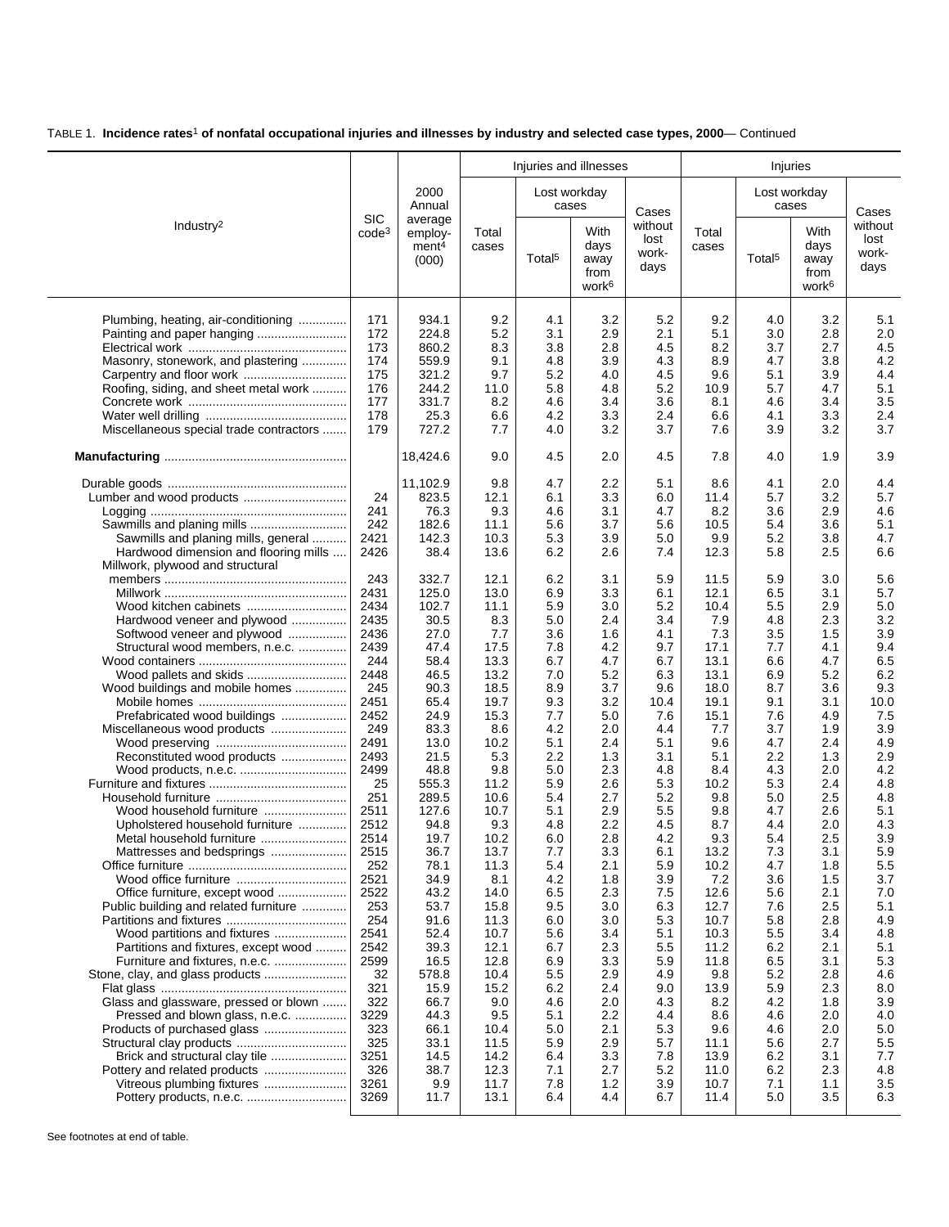|                                         |                                 |                                                  |                |                    | Injuries and illnesses                            |                                  |                |                    | Injuries                                          |                                  |
|-----------------------------------------|---------------------------------|--------------------------------------------------|----------------|--------------------|---------------------------------------------------|----------------------------------|----------------|--------------------|---------------------------------------------------|----------------------------------|
|                                         |                                 | 2000<br>Annual                                   |                |                    | Lost workday<br>cases                             | Cases                            |                | Lost workday       | cases                                             | Cases                            |
| Industry <sup>2</sup>                   | <b>SIC</b><br>code <sup>3</sup> | average<br>employ-<br>ment <sup>4</sup><br>(000) | Total<br>cases | Total <sup>5</sup> | With<br>days<br>away<br>from<br>work <sup>6</sup> | without<br>lost<br>work-<br>days | Total<br>cases | Total <sup>5</sup> | With<br>days<br>away<br>from<br>work <sup>6</sup> | without<br>lost<br>work-<br>days |
| Plumbing, heating, air-conditioning     | 171                             | 934.1                                            | 9.2            | 4.1                | 3.2                                               | 5.2                              | 9.2            | 4.0                | 3.2                                               | 5.1                              |
|                                         | 172                             | 224.8                                            | 5.2            | 3.1                | 2.9                                               | 2.1                              | 5.1            | 3.0                | 2.8                                               | 2.0                              |
|                                         | 173                             | 860.2                                            | 8.3            | 3.8                | 2.8                                               | 4.5                              | 8.2            | 3.7                | 2.7                                               | 4.5                              |
| Masonry, stonework, and plastering      | 174                             | 559.9                                            | 9.1            | 4.8                | 3.9                                               | 4.3                              | 8.9            | 4.7                | 3.8                                               | 4.2                              |
|                                         | 175                             | 321.2                                            | 9.7            | 5.2                | 4.0                                               | 4.5                              | 9.6            | 5.1                | 3.9                                               | 4.4                              |
| Roofing, siding, and sheet metal work   | 176                             | 244.2                                            | 11.0           | 5.8                | 4.8                                               | 5.2                              | 10.9           | 5.7                | 4.7                                               | 5.1                              |
|                                         | 177                             | 331.7                                            | 8.2            | 4.6                | 3.4                                               | 3.6                              | 8.1            | 4.6                | 3.4                                               | 3.5                              |
|                                         | 178                             | 25.3                                             | 6.6            | 4.2                | 3.3                                               | 2.4                              | 6.6            | 4.1                | 3.3                                               | 2.4                              |
| Miscellaneous special trade contractors | 179                             | 727.2                                            | 7.7            | 4.0                | 3.2                                               | 3.7                              | 7.6            | 3.9                | 3.2                                               | 3.7                              |
|                                         |                                 | 18,424.6                                         | 9.0            | 4.5                | 2.0                                               | 4.5                              | 7.8            | 4.0                | 1.9                                               | 3.9                              |
|                                         |                                 | 11,102.9                                         | 9.8            | 4.7                | 2.2                                               | 5.1                              | 8.6            | 4.1                | 2.0                                               | 4.4                              |
| Lumber and wood products                | 24                              | 823.5                                            | 12.1           | 6.1                | 3.3                                               | 6.0                              | 11.4           | 5.7                | 3.2                                               | 5.7                              |
|                                         | 241                             | 76.3                                             | 9.3            | 4.6                | 3.1                                               | 4.7                              | 8.2            | 3.6                | 2.9                                               | 4.6                              |
|                                         | 242                             | 182.6                                            | 11.1           | 5.6                | 3.7                                               | 5.6                              | 10.5           | 5.4                | 3.6                                               | 5.1                              |
| Sawmills and planing mills, general     | 2421                            | 142.3                                            | 10.3           | 5.3                | 3.9                                               | 5.0                              | 9.9            | 5.2                | 3.8                                               | 4.7                              |
| Hardwood dimension and flooring mills   | 2426                            | 38.4                                             | 13.6           | 6.2                | 2.6                                               | 7.4                              | 12.3           | 5.8                | 2.5                                               | 6.6                              |
| Millwork, plywood and structural        |                                 |                                                  |                |                    |                                                   |                                  |                |                    |                                                   |                                  |
|                                         | 243                             | 332.7                                            | 12.1           | 6.2                | 3.1                                               | 5.9                              | 11.5           | 5.9                | 3.0                                               | 5.6                              |
|                                         | 2431                            | 125.0                                            | 13.0           | 6.9                | 3.3                                               | 6.1                              | 12.1           | 6.5                | 3.1                                               | 5.7                              |
| Wood kitchen cabinets                   | 2434                            | 102.7                                            | 11.1           | 5.9                | 3.0                                               | 5.2                              | 10.4           | 5.5                | 2.9                                               | 5.0                              |
| Hardwood veneer and plywood             | 2435                            | 30.5                                             | 8.3            | 5.0                | 2.4                                               | 3.4                              | 7.9            | 4.8                | 2.3                                               | 3.2                              |
| Softwood veneer and plywood             | 2436                            | 27.0                                             | 7.7            | 3.6                | 1.6                                               | 4.1                              | 7.3            | 3.5                | 1.5                                               | 3.9                              |
| Structural wood members, n.e.c.         | 2439                            | 47.4                                             | 17.5           | 7.8                | 4.2                                               | 9.7                              | 17.1           | 7.7                | 4.1                                               | 9.4                              |
|                                         | 244                             | 58.4                                             | 13.3           | 6.7                | 4.7                                               | 6.7                              | 13.1           | 6.6                | 4.7                                               | 6.5                              |
| Wood pallets and skids                  | 2448                            | 46.5                                             | 13.2           | 7.0                | 5.2                                               | 6.3                              | 13.1           | 6.9                | 5.2                                               | 6.2                              |
| Wood buildings and mobile homes         | 245<br>2451                     | 90.3<br>65.4                                     | 18.5<br>19.7   | 8.9<br>9.3         | 3.7<br>3.2                                        | 9.6<br>10.4                      | 18.0<br>19.1   | 8.7<br>9.1         | 3.6<br>3.1                                        | 9.3<br>10.0                      |
| Prefabricated wood buildings            | 2452                            | 24.9                                             | 15.3           | 7.7                | 5.0                                               | 7.6                              | 15.1           | 7.6                | 4.9                                               | 7.5                              |
| Miscellaneous wood products             | 249                             | 83.3                                             | 8.6            | 4.2                | 2.0                                               | 4.4                              | 7.7            | 3.7                | 1.9                                               | 3.9                              |
|                                         | 2491                            | 13.0                                             | 10.2           | 5.1                | 2.4                                               | 5.1                              | 9.6            | 4.7                | 2.4                                               | 4.9                              |
| Reconstituted wood products             | 2493                            | 21.5                                             | 5.3            | 2.2                | 1.3                                               | 3.1                              | 5.1            | 2.2                | 1.3                                               | 2.9                              |
|                                         | 2499                            | 48.8                                             | 9.8            | 5.0                | 2.3                                               | 4.8                              | 8.4            | 4.3                | 2.0                                               | 4.2                              |
|                                         | 25                              | 555.3                                            | 11.2           | 5.9                | 2.6                                               | 5.3                              | 10.2           | 5.3                | 2.4                                               | 4.8                              |
|                                         | 251                             | 289.5                                            | 10.6           | 5.4                | 2.7                                               | 5.2                              | 9.8            | 5.0                | 2.5                                               | 4.8                              |
| Wood household furniture                | 2511                            | 127.6                                            | 10.7           | 5.1                | 2.9                                               | 5.5                              | 9.8            | 4.7                | 2.6                                               | 5.1                              |
| Upholstered household furniture         | 2512                            | 94.8                                             | 9.3            | 4.8                | 2.2                                               | 4.5                              | 8.7            | 4.4                | 2.0                                               | 4.3                              |
| Metal household furniture               | 2514                            | 19.7                                             | 10.2           | 6.0                | 2.8                                               | 4.2                              | 9.3            | 5.4                | 2.5                                               | 3.9                              |
| Mattresses and bedsprings               | 2515                            | 36.7                                             | 13.7           | 7.7                | 3.3                                               | 6.1                              | 13.2           | 7.3                | 3.1                                               | 5.9                              |
|                                         | 252                             | 78.1                                             | 11.3           | 5.4                | 2.1                                               | 5.9                              | 10.2           | 4.7                | 1.8                                               | 5.5                              |
| Wood office furniture                   | 2521                            | 34.9                                             | 8.1            | 4.2                | 1.8                                               | 3.9                              | 7.2            | 3.6                | 1.5                                               | 3.7                              |
| Office furniture, except wood           | 2522                            | 43.2                                             | 14.0           | 6.5                | 2.3                                               | 7.5                              | 12.6           | 5.6                | 2.1                                               | 7.0                              |
| Public building and related furniture   | 253                             | 53.7                                             | 15.8           | 9.5                | 3.0                                               | 6.3                              | 12.7           | 7.6                | 2.5                                               | 5.1                              |
| Wood partitions and fixtures            | 254<br>2541                     | 91.6<br>52.4                                     | 11.3<br>10.7   | 6.0                | 3.0<br>3.4                                        | 5.3<br>5.1                       | 10.7<br>10.3   | 5.8<br>5.5         | 2.8<br>3.4                                        | 4.9<br>4.8                       |
| Partitions and fixtures, except wood    | 2542                            | 39.3                                             | 12.1           | 5.6<br>6.7         | 2.3                                               | 5.5                              | 11.2           | 6.2                | 2.1                                               | 5.1                              |
| Furniture and fixtures, n.e.c.          | 2599                            | 16.5                                             | 12.8           | 6.9                | 3.3                                               | 5.9                              | 11.8           | 6.5                | 3.1                                               | 5.3                              |
|                                         | 32                              | 578.8                                            | 10.4           | 5.5                | 2.9                                               | 4.9                              | 9.8            | 5.2                | 2.8                                               | 4.6                              |
|                                         | 321                             | 15.9                                             | 15.2           | 6.2                | 2.4                                               | 9.0                              | 13.9           | 5.9                | 2.3                                               | 8.0                              |
| Glass and glassware, pressed or blown   | 322                             | 66.7                                             | 9.0            | 4.6                | 2.0                                               | 4.3                              | 8.2            | 4.2                | 1.8                                               | 3.9                              |
| Pressed and blown glass, n.e.c.         | 3229                            | 44.3                                             | 9.5            | 5.1                | 2.2                                               | 4.4                              | 8.6            | 4.6                | 2.0                                               | 4.0                              |
| Products of purchased glass             | 323                             | 66.1                                             | 10.4           | 5.0                | 2.1                                               | 5.3                              | 9.6            | 4.6                | 2.0                                               | 5.0                              |
| Structural clay products                | 325                             | 33.1                                             | 11.5           | 5.9                | 2.9                                               | 5.7                              | 11.1           | 5.6                | 2.7                                               | 5.5                              |
| Brick and structural clay tile          | 3251                            | 14.5                                             | 14.2           | 6.4                | 3.3                                               | 7.8                              | 13.9           | 6.2                | 3.1                                               | 7.7                              |
| Pottery and related products            | 326                             | 38.7                                             | 12.3           | 7.1                | 2.7                                               | 5.2                              | 11.0           | 6.2                | 2.3                                               | 4.8                              |
| Vitreous plumbing fixtures              | 3261                            | 9.9                                              | 11.7           | 7.8                | 1.2                                               | 3.9                              | 10.7           | 7.1                | 1.1                                               | 3.5                              |
| Pottery products, n.e.c.                | 3269                            | 11.7                                             | 13.1           | 6.4                | 4.4                                               | 6.7                              | 11.4           | 5.0                | 3.5                                               | 6.3                              |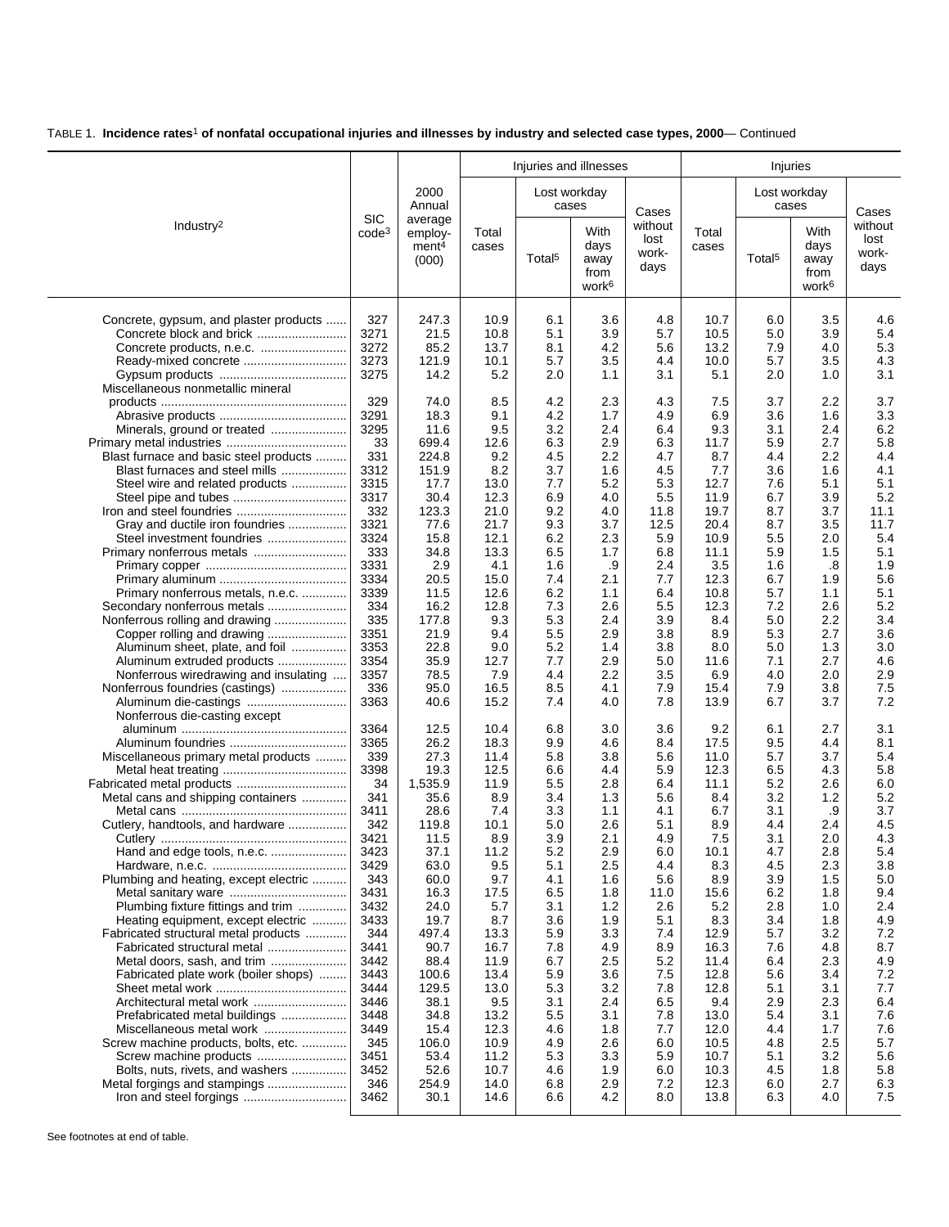|                                                                     |                                 | Injuries and illnesses<br>2000<br>Lost workday   |                |                    |                                                   |                                  |                |                    | Injuries                                          |                                  |
|---------------------------------------------------------------------|---------------------------------|--------------------------------------------------|----------------|--------------------|---------------------------------------------------|----------------------------------|----------------|--------------------|---------------------------------------------------|----------------------------------|
|                                                                     |                                 | Annual                                           |                |                    | cases                                             | Cases                            |                | Lost workday       | cases                                             | Cases                            |
| Industry <sup>2</sup>                                               | <b>SIC</b><br>code <sup>3</sup> | average<br>employ-<br>ment <sup>4</sup><br>(000) | Total<br>cases | Total <sup>5</sup> | With<br>days<br>away<br>from<br>work <sup>6</sup> | without<br>lost<br>work-<br>days | Total<br>cases | Total <sup>5</sup> | With<br>days<br>away<br>from<br>work <sup>6</sup> | without<br>lost<br>work-<br>days |
| Concrete, gypsum, and plaster products                              | 327                             | 247.3                                            | 10.9           | 6.1                | 3.6                                               | 4.8                              | 10.7           | 6.0                | 3.5                                               | 4.6                              |
| Concrete block and brick                                            | 3271                            | 21.5                                             | 10.8           | 5.1                | 3.9                                               | 5.7                              | 10.5           | 5.0                | 3.9                                               | 5.4                              |
| Concrete products, n.e.c.                                           | 3272                            | 85.2                                             | 13.7           | 8.1                | 4.2                                               | 5.6                              | 13.2           | 7.9                | 4.0                                               | 5.3                              |
| Ready-mixed concrete                                                | 3273                            | 121.9                                            | 10.1           | 5.7                | 3.5                                               | 4.4                              | 10.0           | 5.7                | 3.5                                               | 4.3                              |
|                                                                     | 3275                            | 14.2                                             | 5.2            | 2.0                | 1.1                                               | 3.1                              | 5.1            | 2.0                | 1.0                                               | 3.1                              |
| Miscellaneous nonmetallic mineral                                   | 329                             | 74.0                                             |                | 4.2                |                                                   |                                  | 7.5            | 3.7                | 2.2                                               |                                  |
|                                                                     | 3291                            | 18.3                                             | 8.5<br>9.1     | 4.2                | 2.3<br>1.7                                        | 4.3<br>4.9                       | 6.9            | 3.6                | 1.6                                               | 3.7<br>3.3                       |
| Minerals, ground or treated                                         | 3295                            | 11.6                                             | 9.5            | 3.2                | 2.4                                               | 6.4                              | 9.3            | 3.1                | 2.4                                               | 6.2                              |
|                                                                     | 33                              | 699.4                                            | 12.6           | 6.3                | 2.9                                               | 6.3                              | 11.7           | 5.9                | 2.7                                               | 5.8                              |
| Blast furnace and basic steel products                              | 331                             | 224.8                                            | 9.2            | 4.5                | 2.2                                               | 4.7                              | 8.7            | 4.4                | 2.2                                               | 4.4                              |
| Blast furnaces and steel mills                                      | 3312                            | 151.9                                            | 8.2            | 3.7                | 1.6                                               | 4.5                              | 7.7            | 3.6                | 1.6                                               | 4.1                              |
| Steel wire and related products                                     | 3315                            | 17.7                                             | 13.0           | 7.7                | 5.2                                               | 5.3                              | 12.7           | 7.6                | 5.1                                               | 5.1                              |
| Steel pipe and tubes                                                | 3317                            | 30.4                                             | 12.3           | 6.9                | 4.0                                               | 5.5                              | 11.9           | 6.7                | 3.9                                               | 5.2                              |
|                                                                     | 332                             | 123.3                                            | 21.0           | 9.2                | 4.0                                               | 11.8                             | 19.7           | 8.7                | 3.7                                               | 11.1                             |
| Gray and ductile iron foundries<br>Steel investment foundries       | 3321<br>3324                    | 77.6<br>15.8                                     | 21.7<br>12.1   | 9.3<br>6.2         | 3.7<br>2.3                                        | 12.5<br>5.9                      | 20.4<br>10.9   | 8.7<br>5.5         | 3.5<br>2.0                                        | 11.7<br>5.4                      |
| Primary nonferrous metals                                           | 333                             | 34.8                                             | 13.3           | 6.5                | 1.7                                               | 6.8                              | 11.1           | 5.9                | 1.5                                               | 5.1                              |
|                                                                     | 3331                            | 2.9                                              | 4.1            | 1.6                | .9                                                | 2.4                              | 3.5            | 1.6                | .8                                                | 1.9                              |
|                                                                     | 3334                            | 20.5                                             | 15.0           | 7.4                | 2.1                                               | 7.7                              | 12.3           | 6.7                | 1.9                                               | 5.6                              |
| Primary nonferrous metals, n.e.c.                                   | 3339                            | 11.5                                             | 12.6           | 6.2                | 1.1                                               | 6.4                              | 10.8           | 5.7                | 1.1                                               | 5.1                              |
| Secondary nonferrous metals                                         | 334                             | 16.2                                             | 12.8           | 7.3                | 2.6                                               | 5.5                              | 12.3           | 7.2                | 2.6                                               | 5.2                              |
| Nonferrous rolling and drawing                                      | 335                             | 177.8                                            | 9.3            | 5.3                | 2.4                                               | 3.9                              | 8.4            | 5.0                | 2.2                                               | 3.4                              |
| Copper rolling and drawing                                          | 3351                            | 21.9                                             | 9.4            | 5.5                | 2.9                                               | 3.8                              | 8.9            | 5.3                | 2.7                                               | 3.6                              |
| Aluminum sheet, plate, and foil                                     | 3353<br>3354                    | 22.8<br>35.9                                     | 9.0<br>12.7    | 5.2<br>7.7         | 1.4<br>2.9                                        | 3.8<br>5.0                       | 8.0<br>11.6    | 5.0<br>7.1         | 1.3<br>2.7                                        | 3.0<br>4.6                       |
| Aluminum extruded products<br>Nonferrous wiredrawing and insulating | 3357                            | 78.5                                             | 7.9            | 4.4                | 2.2                                               | 3.5                              | 6.9            | 4.0                | 2.0                                               | 2.9                              |
| Nonferrous foundries (castings)                                     | 336                             | 95.0                                             | 16.5           | 8.5                | 4.1                                               | 7.9                              | 15.4           | 7.9                | 3.8                                               | 7.5                              |
| Aluminum die-castings                                               | 3363                            | 40.6                                             | 15.2           | 7.4                | 4.0                                               | 7.8                              | 13.9           | 6.7                | 3.7                                               | 7.2                              |
| Nonferrous die-casting except                                       |                                 |                                                  |                |                    |                                                   |                                  |                |                    |                                                   |                                  |
|                                                                     | 3364                            | 12.5                                             | 10.4           | 6.8                | 3.0                                               | 3.6                              | 9.2            | 6.1                | 2.7                                               | 3.1                              |
|                                                                     | 3365<br>339                     | 26.2<br>27.3                                     | 18.3<br>11.4   | 9.9<br>5.8         | 4.6<br>3.8                                        | 8.4<br>5.6                       | 17.5<br>11.0   | 9.5<br>5.7         | 4.4<br>3.7                                        | 8.1<br>5.4                       |
| Miscellaneous primary metal products                                | 3398                            | 19.3                                             | 12.5           | 6.6                | 4.4                                               | 5.9                              | 12.3           | 6.5                | 4.3                                               | 5.8                              |
|                                                                     | 34                              | 1,535.9                                          | 11.9           | 5.5                | 2.8                                               | 6.4                              | 11.1           | 5.2                | 2.6                                               | 6.0                              |
| Metal cans and shipping containers                                  | 341                             | 35.6                                             | 8.9            | 3.4                | 1.3                                               | 5.6                              | 8.4            | 3.2                | 1.2                                               | 5.2                              |
|                                                                     | 3411                            | 28.6                                             | 7.4            | 3.3                | 1.1                                               | 4.1                              | 6.7            | 3.1                | .9                                                | 3.7                              |
| Cutlery, handtools, and hardware                                    | 342                             | 119.8                                            | 10.1           | 5.0                | 2.6                                               | 5.1                              | 8.9            | 4.4                | 2.4                                               | 4.5                              |
|                                                                     | 3421                            | 11.5                                             | 8.9            | 3.9                | 2.1                                               | 4.9                              | 7.5            | 3.1                | 2.0                                               | 4.3                              |
| Hand and edge tools, n.e.c.                                         | 3423<br>3429                    | 37.1<br>63.0                                     | 11.2<br>9.5    | 5.2<br>5.1         | 2.9<br>2.5                                        | 6.0<br>4.4                       | 10.1<br>8.3    | 4.7<br>4.5         | 2.8<br>2.3                                        | 5.4<br>3.8                       |
| Plumbing and heating, except electric                               | 343                             | 60.0                                             | 9.7            | 4.1                | 1.6                                               | 5.6                              | 8.9            | 3.9                | 1.5                                               | 5.0                              |
|                                                                     | 3431                            | 16.3                                             | 17.5           | 6.5                | 1.8                                               | 11.0                             | 15.6           | 6.2                | 1.8                                               | 9.4                              |
| Plumbing fixture fittings and trim                                  | 3432                            | 24.0                                             | 5.7            | 3.1                | 1.2                                               | 2.6                              | 5.2            | 2.8                | 1.0                                               | 2.4                              |
| Heating equipment, except electric                                  | 3433                            | 19.7                                             | 8.7            | 3.6                | 1.9                                               | 5.1                              | 8.3            | 3.4                | 1.8                                               | 4.9                              |
| Fabricated structural metal products                                | 344                             | 497.4                                            | 13.3           | 5.9                | 3.3                                               | 7.4                              | 12.9           | 5.7                | 3.2                                               | 7.2                              |
|                                                                     | 3441                            | 90.7                                             | 16.7           | 7.8                | 4.9                                               | 8.9                              | 16.3           | 7.6                | 4.8                                               | 8.7                              |
| Metal doors, sash, and trim<br>Fabricated plate work (boiler shops) | 3442<br>3443                    | 88.4<br>100.6                                    | 11.9<br>13.4   | 6.7<br>5.9         | 2.5<br>3.6                                        | 5.2<br>7.5                       | 11.4<br>12.8   | 6.4<br>5.6         | 2.3<br>3.4                                        | 4.9<br>7.2                       |
|                                                                     | 3444                            | 129.5                                            | 13.0           | 5.3                | 3.2                                               | 7.8                              | 12.8           | 5.1                | 3.1                                               | 7.7                              |
|                                                                     | 3446                            | 38.1                                             | 9.5            | 3.1                | 2.4                                               | 6.5                              | 9.4            | 2.9                | 2.3                                               | 6.4                              |
| Prefabricated metal buildings                                       | 3448                            | 34.8                                             | 13.2           | 5.5                | 3.1                                               | 7.8                              | 13.0           | 5.4                | 3.1                                               | 7.6                              |
|                                                                     | 3449                            | 15.4                                             | 12.3           | 4.6                | 1.8                                               | 7.7                              | 12.0           | 4.4                | 1.7                                               | 7.6                              |
| Screw machine products, bolts, etc.                                 | 345                             | 106.0                                            | 10.9           | 4.9                | 2.6                                               | 6.0                              | 10.5           | 4.8                | 2.5                                               | 5.7                              |
| Screw machine products                                              | 3451                            | 53.4                                             | 11.2           | 5.3                | 3.3                                               | 5.9                              | 10.7           | 5.1                | 3.2                                               | 5.6                              |
| Bolts, nuts, rivets, and washers                                    | 3452                            | 52.6                                             | 10.7           | 4.6                | 1.9                                               | 6.0                              | 10.3           | 4.5                | 1.8                                               | 5.8                              |
| Metal forgings and stampings                                        | 346<br>3462                     | 254.9<br>30.1                                    | 14.0<br>14.6   | 6.8<br>6.6         | 2.9<br>4.2                                        | 7.2<br>8.0                       | 12.3<br>13.8   | 6.0<br>6.3         | 2.7<br>4.0                                        | 6.3<br>7.5                       |
|                                                                     |                                 |                                                  |                |                    |                                                   |                                  |                |                    |                                                   |                                  |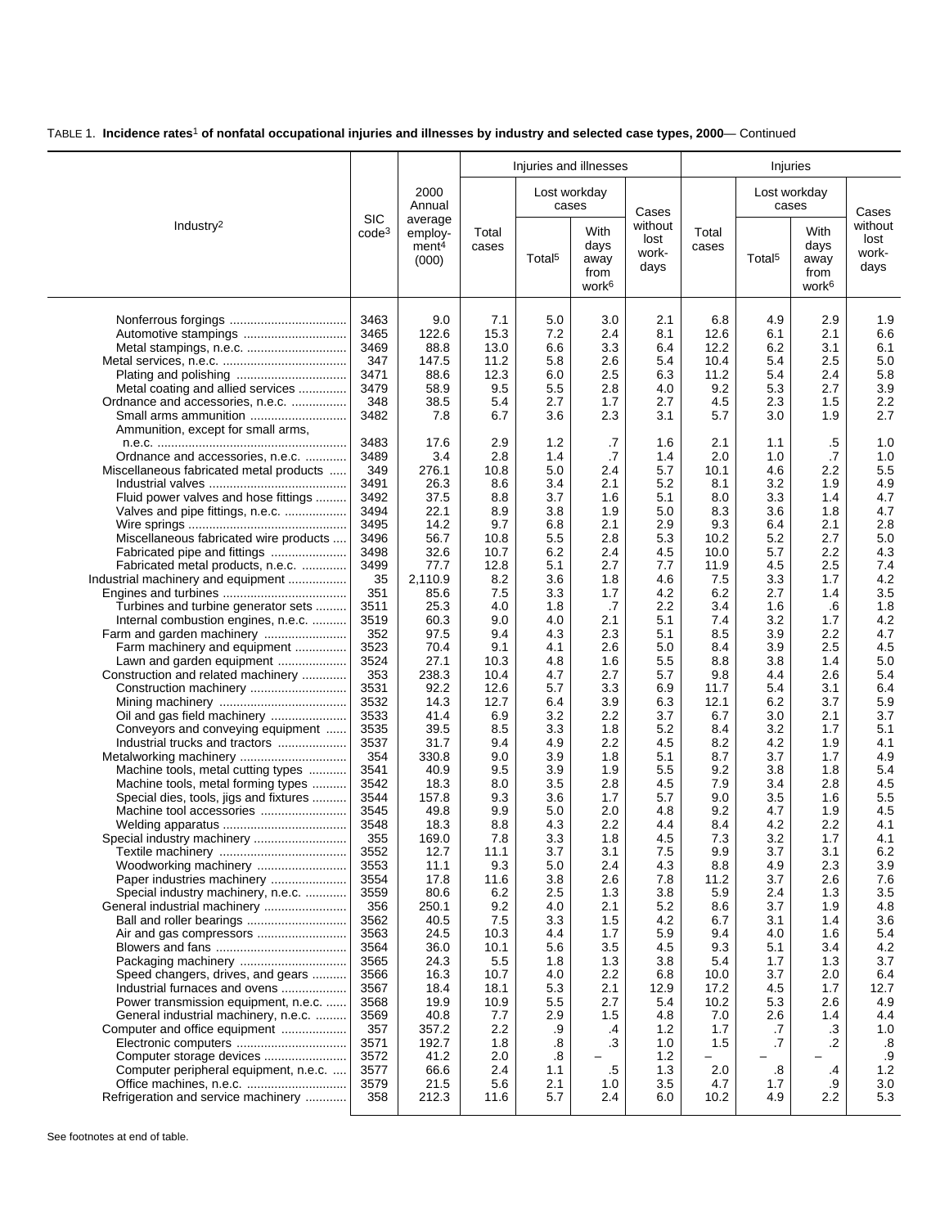|                                                                  |                                 |                                                  |                |                    | Injuries and illnesses                            |                                  |                |                    | Injuries                                          |                                  |
|------------------------------------------------------------------|---------------------------------|--------------------------------------------------|----------------|--------------------|---------------------------------------------------|----------------------------------|----------------|--------------------|---------------------------------------------------|----------------------------------|
|                                                                  |                                 | 2000<br>Annual                                   |                |                    | Lost workday<br>cases                             | Cases                            |                |                    | Lost workday<br>cases                             | Cases                            |
| Industry <sup>2</sup>                                            | <b>SIC</b><br>code <sup>3</sup> | average<br>employ-<br>ment <sup>4</sup><br>(000) | Total<br>cases | Total <sup>5</sup> | With<br>days<br>away<br>from<br>work <sup>6</sup> | without<br>lost<br>work-<br>days | Total<br>cases | Total <sup>5</sup> | With<br>days<br>away<br>from<br>work <sup>6</sup> | without<br>lost<br>work-<br>days |
|                                                                  | 3463                            | 9.0                                              | 7.1            | 5.0                | 3.0                                               | 2.1                              | 6.8            | 4.9                | 2.9                                               | 1.9                              |
|                                                                  | 3465                            | 122.6                                            | 15.3           | 7.2                | 2.4                                               | 8.1                              | 12.6           | 6.1                | 2.1                                               | 6.6                              |
|                                                                  | 3469                            | 88.8                                             | 13.0           | 6.6                | 3.3                                               | 6.4                              | 12.2           | 6.2                | 3.1                                               | 6.1                              |
|                                                                  | 347                             | 147.5                                            | 11.2           | 5.8                | 2.6                                               | 5.4                              | 10.4           | 5.4                | 2.5                                               | 5.0                              |
|                                                                  | 3471                            | 88.6                                             | 12.3           | 6.0                | 2.5                                               | 6.3                              | 11.2           | 5.4                | 2.4                                               | 5.8                              |
| Metal coating and allied services                                | 3479                            | 58.9                                             | 9.5            | 5.5                | 2.8                                               | 4.0                              | 9.2            | 5.3                | 2.7                                               | 3.9                              |
| Ordnance and accessories, n.e.c.                                 | 348                             | 38.5                                             | 5.4            | 2.7                | 1.7                                               | 2.7                              | 4.5            | 2.3                | 1.5                                               | 2.2                              |
|                                                                  | 3482                            | 7.8                                              | 6.7            | 3.6                | 2.3                                               | 3.1                              | 5.7            | 3.0                | 1.9                                               | 2.7                              |
| Ammunition, except for small arms,                               |                                 |                                                  |                |                    |                                                   |                                  |                |                    |                                                   |                                  |
|                                                                  | 3483                            | 17.6                                             | 2.9            | 1.2                | .7                                                | 1.6                              | 2.1            | 1.1                | .5                                                | 1.0                              |
| Ordnance and accessories, n.e.c.                                 | 3489                            | 3.4                                              | 2.8            | 1.4                | .7                                                | 1.4                              | 2.0            | 1.0                | .7                                                | 1.0                              |
| Miscellaneous fabricated metal products                          | 349                             | 276.1                                            | 10.8           | 5.0                | 2.4                                               | 5.7                              | 10.1           | 4.6                | 2.2                                               | 5.5                              |
|                                                                  | 3491                            | 26.3                                             | 8.6            | 3.4                | 2.1                                               | 5.2                              | 8.1            | 3.2                | 1.9                                               | 4.9                              |
| Fluid power valves and hose fittings                             | 3492<br>3494                    | 37.5                                             | 8.8            | 3.7                | 1.6                                               | 5.1                              | 8.0            | 3.3                | 1.4                                               | 4.7<br>4.7                       |
| Valves and pipe fittings, n.e.c.                                 | 3495                            | 22.1<br>14.2                                     | 8.9<br>9.7     | 3.8<br>6.8         | 1.9<br>2.1                                        | 5.0<br>2.9                       | 8.3<br>9.3     | 3.6<br>6.4         | 1.8<br>2.1                                        | 2.8                              |
| Miscellaneous fabricated wire products                           | 3496                            | 56.7                                             | 10.8           | 5.5                | 2.8                                               | 5.3                              | 10.2           | 5.2                | 2.7                                               | $5.0\,$                          |
| Fabricated pipe and fittings                                     | 3498                            | 32.6                                             | 10.7           | 6.2                | 2.4                                               | 4.5                              | 10.0           | 5.7                | 2.2                                               | 4.3                              |
| Fabricated metal products, n.e.c.                                | 3499                            | 77.7                                             | 12.8           | 5.1                | 2.7                                               | 7.7                              | 11.9           | 4.5                | 2.5                                               | 7.4                              |
| Industrial machinery and equipment                               | 35                              | 2,110.9                                          | 8.2            | 3.6                | 1.8                                               | 4.6                              | 7.5            | 3.3                | 1.7                                               | 4.2                              |
|                                                                  | 351                             | 85.6                                             | 7.5            | 3.3                | 1.7                                               | 4.2                              | 6.2            | 2.7                | 1.4                                               | 3.5                              |
| Turbines and turbine generator sets                              | 3511                            | 25.3                                             | 4.0            | 1.8                | .7                                                | 2.2                              | 3.4            | 1.6                | .6                                                | 1.8                              |
| Internal combustion engines, n.e.c.                              | 3519                            | 60.3                                             | 9.0            | 4.0                | 2.1                                               | 5.1                              | 7.4            | 3.2                | 1.7                                               | 4.2                              |
| Farm and garden machinery                                        | 352                             | 97.5                                             | 9.4            | 4.3                | 2.3                                               | 5.1                              | 8.5            | 3.9                | 2.2                                               | 4.7                              |
| Farm machinery and equipment                                     | 3523                            | 70.4                                             | 9.1            | 4.1                | 2.6                                               | 5.0                              | 8.4            | 3.9                | 2.5                                               | 4.5                              |
| Lawn and garden equipment                                        | 3524                            | 27.1                                             | 10.3           | 4.8                | 1.6                                               | 5.5                              | 8.8            | 3.8                | 1.4                                               | 5.0                              |
| Construction and related machinery                               | 353                             | 238.3                                            | 10.4           | 4.7                | 2.7                                               | 5.7                              | 9.8            | 4.4                | 2.6                                               | 5.4                              |
| Construction machinery                                           | 3531                            | 92.2                                             | 12.6           | 5.7                | 3.3                                               | 6.9                              | 11.7           | 5.4                | 3.1                                               | 6.4                              |
|                                                                  | 3532<br>3533                    | 14.3<br>41.4                                     | 12.7<br>6.9    | 6.4<br>3.2         | 3.9<br>2.2                                        | 6.3<br>3.7                       | 12.1<br>6.7    | 6.2<br>3.0         | 3.7<br>2.1                                        | 5.9<br>3.7                       |
| Oil and gas field machinery<br>Conveyors and conveying equipment | 3535                            | 39.5                                             | 8.5            | 3.3                | 1.8                                               | 5.2                              | 8.4            | 3.2                | 1.7                                               | 5.1                              |
| Industrial trucks and tractors                                   | 3537                            | 31.7                                             | 9.4            | 4.9                | 2.2                                               | 4.5                              | 8.2            | 4.2                | 1.9                                               | 4.1                              |
| Metalworking machinery                                           | 354                             | 330.8                                            | 9.0            | 3.9                | 1.8                                               | 5.1                              | 8.7            | 3.7                | 1.7                                               | 4.9                              |
| Machine tools, metal cutting types                               | 3541                            | 40.9                                             | 9.5            | 3.9                | 1.9                                               | 5.5                              | 9.2            | 3.8                | 1.8                                               | 5.4                              |
| Machine tools, metal forming types                               | 3542                            | 18.3                                             | 8.0            | 3.5                | 2.8                                               | 4.5                              | 7.9            | 3.4                | 2.8                                               | 4.5                              |
| Special dies, tools, jigs and fixtures                           | 3544                            | 157.8                                            | 9.3            | 3.6                | 1.7                                               | 5.7                              | 9.0            | 3.5                | 1.6                                               | 5.5                              |
| Machine tool accessories                                         | 3545                            | 49.8                                             | 9.9            | 5.0                | 2.0                                               | 4.8                              | 9.2            | 4.7                | 1.9                                               | 4.5                              |
|                                                                  | 3548                            | 18.3                                             | 8.8            | 4.3                | 2.2                                               | 4.4                              | 8.4            | 4.2                | 2.2                                               | 4.1                              |
| Special industry machinery                                       | 355                             | 169.0                                            | 7.8            | 3.3                | 1.8                                               | 4.5                              | 7.3            | 3.2                | 1.7                                               | 4.1                              |
|                                                                  | 3552                            | 12.7                                             | 11.1           | 3.7                | 3.1                                               | 7.5                              | 9.9            | 3.7                | 3.1                                               | 6.2                              |
| Woodworking machinery                                            | 3553                            | 11.1                                             | 9.3            | 5.0                | 2.4                                               | 4.3                              | 8.8            | 4.9                | 2.3                                               | 3.9                              |
| Paper industries machinery<br>Special industry machinery, n.e.c. | 3554<br>3559                    | 17.8<br>80.6                                     | 11.6<br>6.2    | 3.8<br>2.5         | 2.6<br>1.3                                        | 7.8<br>3.8                       | 11.2<br>5.9    | 3.7<br>2.4         | 2.6<br>1.3                                        | 7.6<br>3.5                       |
| General industrial machinery                                     | 356                             | 250.1                                            | 9.2            | 4.0                | 2.1                                               | 5.2                              | 8.6            | 3.7                | 1.9                                               | 4.8                              |
| Ball and roller bearings                                         | 3562                            | 40.5                                             | 7.5            | 3.3                | 1.5                                               | 4.2                              | 6.7            | 3.1                | 1.4                                               | 3.6                              |
| Air and gas compressors                                          | 3563                            | 24.5                                             | 10.3           | 4.4                | 1.7                                               | 5.9                              | 9.4            | 4.0                | 1.6                                               | 5.4                              |
|                                                                  | 3564                            | 36.0                                             | 10.1           | 5.6                | 3.5                                               | 4.5                              | 9.3            | 5.1                | 3.4                                               | 4.2                              |
|                                                                  | 3565                            | 24.3                                             | 5.5            | 1.8                | 1.3                                               | 3.8                              | 5.4            | 1.7                | 1.3                                               | 3.7                              |
| Speed changers, drives, and gears                                | 3566                            | 16.3                                             | 10.7           | 4.0                | 2.2                                               | 6.8                              | 10.0           | 3.7                | 2.0                                               | 6.4                              |
| Industrial furnaces and ovens                                    | 3567                            | 18.4                                             | 18.1           | 5.3                | 2.1                                               | 12.9                             | 17.2           | 4.5                | 1.7                                               | 12.7                             |
| Power transmission equipment, n.e.c.                             | 3568                            | 19.9                                             | 10.9           | 5.5                | 2.7                                               | 5.4                              | 10.2           | 5.3                | 2.6                                               | 4.9                              |
| General industrial machinery, n.e.c.                             | 3569                            | 40.8                                             | 7.7            | 2.9                | 1.5                                               | 4.8                              | 7.0            | 2.6                | 1.4                                               | 4.4                              |
| Computer and office equipment                                    | 357                             | 357.2                                            | 2.2            | .9                 | .4                                                | 1.2                              | 1.7            | .7                 | .3                                                | 1.0                              |
|                                                                  | 3571                            | 192.7                                            | 1.8            | .8                 | .3                                                | 1.0                              | 1.5            | .7                 | .2                                                | .8<br>.9                         |
| Computer peripheral equipment, n.e.c.                            | 3572<br>3577                    | 41.2<br>66.6                                     | 2.0<br>2.4     | .8<br>1.1          | $.5\,$                                            | 1.2<br>1.3                       | 2.0            | .8                 | .4                                                | 1.2                              |
|                                                                  | 3579                            | 21.5                                             | 5.6            | 2.1                | 1.0                                               | $3.5\,$                          | 4.7            | 1.7                | .9                                                | 3.0                              |
| Refrigeration and service machinery                              | 358                             | 212.3                                            | 11.6           | 5.7                | 2.4                                               | 6.0                              | 10.2           | 4.9                | 2.2                                               | 5.3                              |
|                                                                  |                                 |                                                  |                |                    |                                                   |                                  |                |                    |                                                   |                                  |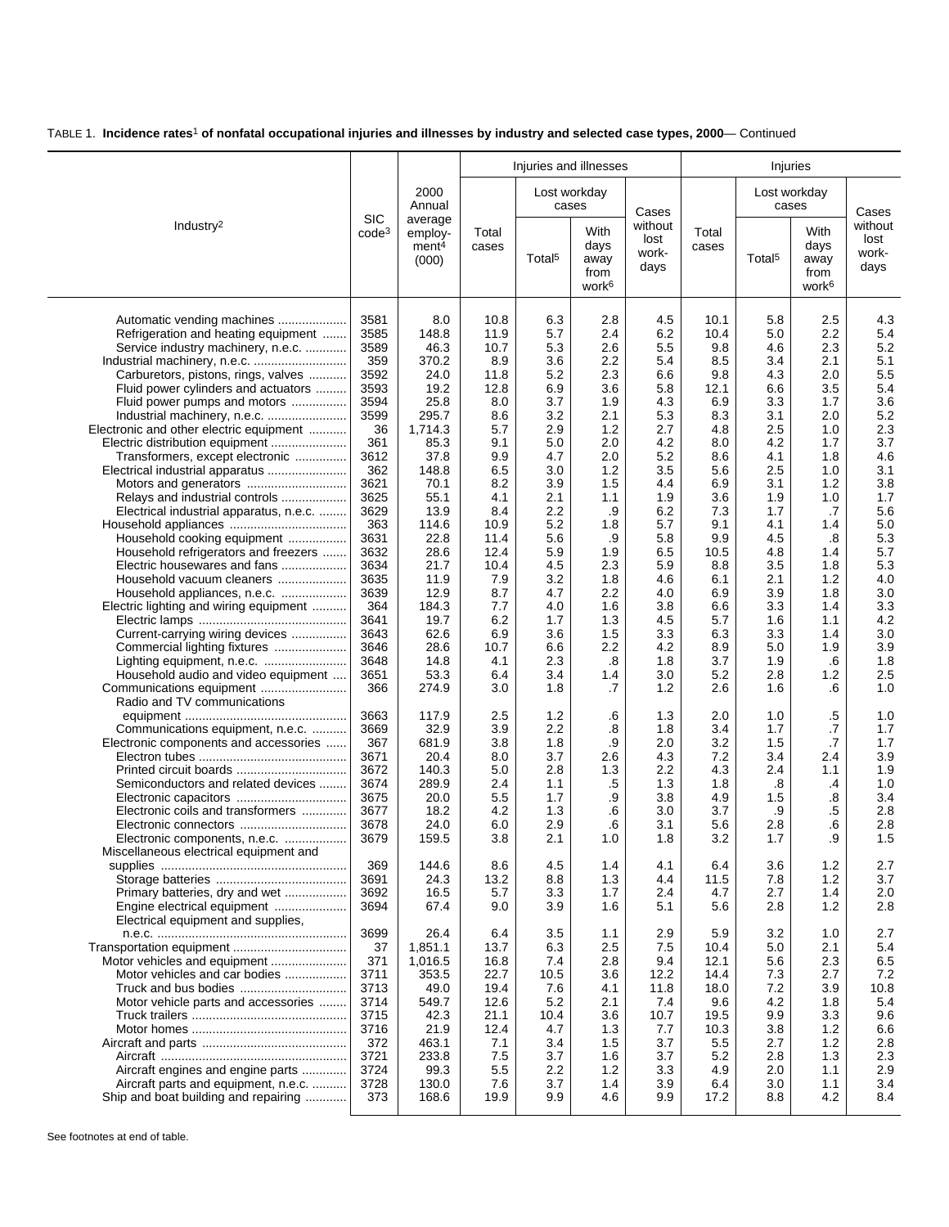|                                                                     |                                 |                                                  |                |                    | Injuries and illnesses                            |                                  |                |                    | Injuries                                          |                                  |
|---------------------------------------------------------------------|---------------------------------|--------------------------------------------------|----------------|--------------------|---------------------------------------------------|----------------------------------|----------------|--------------------|---------------------------------------------------|----------------------------------|
|                                                                     |                                 | 2000<br>Annual                                   |                |                    | Lost workday<br>cases                             | Cases                            |                |                    | Lost workday<br>cases                             | Cases                            |
| Industry <sup>2</sup>                                               | <b>SIC</b><br>code <sup>3</sup> | average<br>employ-<br>ment <sup>4</sup><br>(000) | Total<br>cases | Total <sup>5</sup> | With<br>days<br>away<br>from<br>work <sup>6</sup> | without<br>lost<br>work-<br>days | Total<br>cases | Total <sup>5</sup> | With<br>days<br>away<br>from<br>work <sup>6</sup> | without<br>lost<br>work-<br>days |
| Automatic vending machines                                          | 3581                            | 8.0                                              | 10.8           | 6.3                | 2.8                                               | 4.5                              | 10.1           | 5.8                | 2.5                                               | 4.3                              |
| Refrigeration and heating equipment                                 | 3585                            | 148.8                                            | 11.9           | 5.7                | 2.4                                               | 6.2                              | 10.4           | 5.0                | 2.2                                               | 5.4                              |
| Service industry machinery, n.e.c.                                  | 3589                            | 46.3                                             | 10.7           | 5.3                | 2.6                                               | 5.5                              | 9.8            | 4.6                | 2.3                                               | 5.2                              |
|                                                                     | 359                             | 370.2                                            | 8.9            | 3.6                | 2.2                                               | 5.4                              | 8.5            | 3.4                | 2.1                                               | 5.1                              |
| Carburetors, pistons, rings, valves                                 | 3592                            | 24.0                                             | 11.8           | 5.2                | 2.3                                               | 6.6                              | 9.8            | 4.3                | 2.0                                               | 5.5                              |
| Fluid power cylinders and actuators                                 | 3593                            | 19.2                                             | 12.8           | 6.9                | 3.6                                               | 5.8                              | 12.1           | 6.6                | 3.5                                               | 5.4                              |
| Fluid power pumps and motors                                        | 3594                            | 25.8                                             | 8.0            | 3.7                | 1.9                                               | 4.3                              | 6.9            | 3.3                | 1.7                                               | 3.6                              |
| Industrial machinery, n.e.c.                                        | 3599                            | 295.7                                            | 8.6            | 3.2                | 2.1                                               | 5.3                              | 8.3            | 3.1                | 2.0                                               | 5.2                              |
| Electronic and other electric equipment                             | 36                              | 1,714.3                                          | 5.7            | 2.9                | 1.2                                               | 2.7                              | 4.8            | 2.5                | 1.0                                               | 2.3                              |
| Electric distribution equipment                                     | 361                             | 85.3                                             | 9.1            | 5.0                | 2.0                                               | 4.2                              | 8.0            | 4.2                | 1.7                                               | 3.7                              |
| Transformers, except electronic                                     | 3612                            | 37.8                                             | 9.9            | 4.7                | 2.0                                               | 5.2                              | 8.6            | 4.1                | 1.8                                               | 4.6                              |
|                                                                     | 362                             | 148.8                                            | 6.5            | 3.0                | 1.2                                               | 3.5                              | 5.6            | 2.5                | 1.0                                               | 3.1                              |
|                                                                     | 3621                            | 70.1                                             | 8.2            | 3.9                | 1.5                                               | 4.4                              | 6.9            | 3.1                | 1.2                                               | 3.8                              |
| Relays and industrial controls                                      | 3625                            | 55.1                                             | 4.1            | 2.1                | 1.1                                               | 1.9                              | 3.6            | 1.9                | 1.0                                               | 1.7                              |
| Electrical industrial apparatus, n.e.c.                             | 3629                            | 13.9                                             | 8.4            | 2.2                | .9                                                | 6.2                              | 7.3            | 1.7                | .7                                                | 5.6                              |
|                                                                     | 363<br>3631                     | 114.6<br>22.8                                    | 10.9<br>11.4   | 5.2                | 1.8<br>.9                                         | 5.7<br>5.8                       | 9.1<br>9.9     | 4.1<br>4.5         | 1.4                                               | 5.0<br>5.3                       |
| Household cooking equipment<br>Household refrigerators and freezers | 3632                            | 28.6                                             | 12.4           | 5.6<br>5.9         | 1.9                                               | 6.5                              | 10.5           | 4.8                | .8<br>1.4                                         | 5.7                              |
| Electric housewares and fans                                        | 3634                            | 21.7                                             | 10.4           | 4.5                | 2.3                                               | 5.9                              | 8.8            | 3.5                | 1.8                                               | 5.3                              |
| Household vacuum cleaners                                           | 3635                            | 11.9                                             | 7.9            | 3.2                | 1.8                                               | 4.6                              | 6.1            | 2.1                | 1.2                                               | 4.0                              |
| Household appliances, n.e.c.                                        | 3639                            | 12.9                                             | 8.7            | 4.7                | 2.2                                               | 4.0                              | 6.9            | 3.9                | 1.8                                               | 3.0                              |
| Electric lighting and wiring equipment                              | 364                             | 184.3                                            | 7.7            | 4.0                | 1.6                                               | 3.8                              | 6.6            | 3.3                | 1.4                                               | 3.3                              |
|                                                                     | 3641                            | 19.7                                             | 6.2            | 1.7                | 1.3                                               | 4.5                              | 5.7            | 1.6                | 1.1                                               | 4.2                              |
| Current-carrying wiring devices                                     | 3643                            | 62.6                                             | 6.9            | 3.6                | 1.5                                               | 3.3                              | 6.3            | 3.3                | 1.4                                               | 3.0                              |
| Commercial lighting fixtures                                        | 3646                            | 28.6                                             | 10.7           | 6.6                | 2.2                                               | 4.2                              | 8.9            | 5.0                | 1.9                                               | 3.9                              |
| Lighting equipment, n.e.c.                                          | 3648                            | 14.8                                             | 4.1            | 2.3                | .8                                                | 1.8                              | 3.7            | 1.9                | .6                                                | 1.8                              |
| Household audio and video equipment                                 | 3651                            | 53.3                                             | 6.4            | 3.4                | 1.4                                               | 3.0                              | 5.2            | 2.8                | 1.2                                               | 2.5                              |
| Communications equipment                                            | 366                             | 274.9                                            | 3.0            | 1.8                | .7                                                | $1.2$                            | 2.6            | 1.6                | .6                                                | 1.0                              |
| Radio and TV communications                                         |                                 |                                                  |                |                    |                                                   |                                  |                |                    |                                                   |                                  |
|                                                                     | 3663                            | 117.9                                            | 2.5            | 1.2                | .6                                                | 1.3                              | 2.0            | 1.0                | .5                                                | 1.0                              |
| Communications equipment, n.e.c.                                    | 3669                            | 32.9                                             | 3.9            | 2.2                | .8                                                | 1.8                              | 3.4            | 1.7                | .7                                                | 1.7                              |
| Electronic components and accessories                               | 367                             | 681.9                                            | 3.8            | 1.8                | .9                                                | 2.0                              | 3.2            | 1.5                | .7                                                | 1.7                              |
|                                                                     | 3671                            | 20.4                                             | 8.0            | 3.7                | 2.6                                               | 4.3                              | 7.2            | 3.4                | 2.4                                               | 3.9                              |
| Printed circuit boards                                              | 3672<br>3674                    | 140.3<br>289.9                                   | 5.0<br>2.4     | 2.8<br>1.1         | 1.3<br>.5                                         | 2.2                              | 4.3<br>1.8     | 2.4                | 1.1<br>.4                                         | 1.9<br>1.0                       |
| Semiconductors and related devices                                  | 3675                            | 20.0                                             | $5.5\,$        | 1.7                | .9                                                | 1.3<br>3.8                       | 4.9            | .8<br>1.5          | .8                                                | 3.4                              |
| Electronic coils and transformers                                   | 3677                            | 18.2                                             | 4.2            | 1.3                | .6                                                | 3.0                              | 3.7            | .9                 | .5                                                | 2.8                              |
|                                                                     | 3678                            | 24.0                                             | 6.0            | 2.9                | .6                                                | 3.1                              | 5.6            | 2.8                | .6                                                | 2.8                              |
| Electronic components, n.e.c.                                       | 3679                            | 159.5                                            | 3.8            | 2.1                | 1.0                                               | 1.8                              | 3.2            | 1.7                | .9                                                | 1.5                              |
| Miscellaneous electrical equipment and                              |                                 |                                                  |                |                    |                                                   |                                  |                |                    |                                                   |                                  |
|                                                                     | 369                             | 144.6                                            | 8.6            | 4.5                | 1.4                                               | 4.1                              | 6.4            | 3.6                | 1.2                                               | 2.7                              |
|                                                                     | 3691                            | 24.3                                             | 13.2           | 8.8                | 1.3                                               | 4.4                              | 11.5           | 7.8                | 1.2                                               | 3.7                              |
| Primary batteries, dry and wet                                      | 3692                            | 16.5                                             | 5.7            | 3.3                | 1.7                                               | 2.4                              | 4.7            | 2.7                | 1.4                                               | 2.0                              |
| Engine electrical equipment                                         | 3694                            | 67.4                                             | 9.0            | 3.9                | 1.6                                               | 5.1                              | 5.6            | 2.8                | 1.2                                               | 2.8                              |
| Electrical equipment and supplies,                                  |                                 |                                                  |                |                    |                                                   |                                  |                |                    |                                                   |                                  |
|                                                                     | 3699                            | 26.4                                             | 6.4            | 3.5                | 1.1                                               | 2.9                              | 5.9            | 3.2                | 1.0                                               | 2.7                              |
|                                                                     | 37                              | 1,851.1                                          | 13.7           | 6.3                | 2.5                                               | 7.5                              | 10.4           | 5.0                | 2.1                                               | 5.4                              |
|                                                                     | 371                             | 1,016.5                                          | 16.8           | 7.4                | 2.8                                               | 9.4                              | 12.1           | 5.6                | 2.3                                               | 6.5                              |
| Motor vehicles and car bodies                                       | 3711                            | 353.5                                            | 22.7           | 10.5               | 3.6                                               | 12.2                             | 14.4           | 7.3                | 2.7                                               | 7.2                              |
| Truck and bus bodies<br>Motor vehicle parts and accessories         | 3713<br>3714                    | 49.0<br>549.7                                    | 19.4<br>12.6   | 7.6<br>5.2         | 4.1<br>2.1                                        | 11.8<br>7.4                      | 18.0<br>9.6    | 7.2<br>4.2         | 3.9<br>1.8                                        | 10.8<br>5.4                      |
|                                                                     | 3715                            | 42.3                                             | 21.1           | 10.4               | 3.6                                               | 10.7                             | 19.5           | 9.9                | 3.3                                               | 9.6                              |
|                                                                     | 3716                            | 21.9                                             | 12.4           | 4.7                | 1.3                                               | 7.7                              | 10.3           | 3.8                | 1.2                                               | 6.6                              |
|                                                                     | 372                             | 463.1                                            | 7.1            | 3.4                | 1.5                                               | 3.7                              | 5.5            | 2.7                | 1.2                                               | 2.8                              |
|                                                                     | 3721                            | 233.8                                            | 7.5            | 3.7                | 1.6                                               | 3.7                              | 5.2            | 2.8                | 1.3                                               | 2.3                              |
| Aircraft engines and engine parts                                   | 3724                            | 99.3                                             | 5.5            | 2.2                | 1.2                                               | 3.3                              | 4.9            | 2.0                | 1.1                                               | 2.9                              |
| Aircraft parts and equipment, n.e.c.                                | 3728                            | 130.0                                            | 7.6            | 3.7                | 1.4                                               | 3.9                              | 6.4            | 3.0                | 1.1                                               | 3.4                              |
| Ship and boat building and repairing                                | 373                             | 168.6                                            | 19.9           | 9.9                | 4.6                                               | 9.9                              | 17.2           | 8.8                | 4.2                                               | 8.4                              |
|                                                                     |                                 |                                                  |                |                    |                                                   |                                  |                |                    |                                                   |                                  |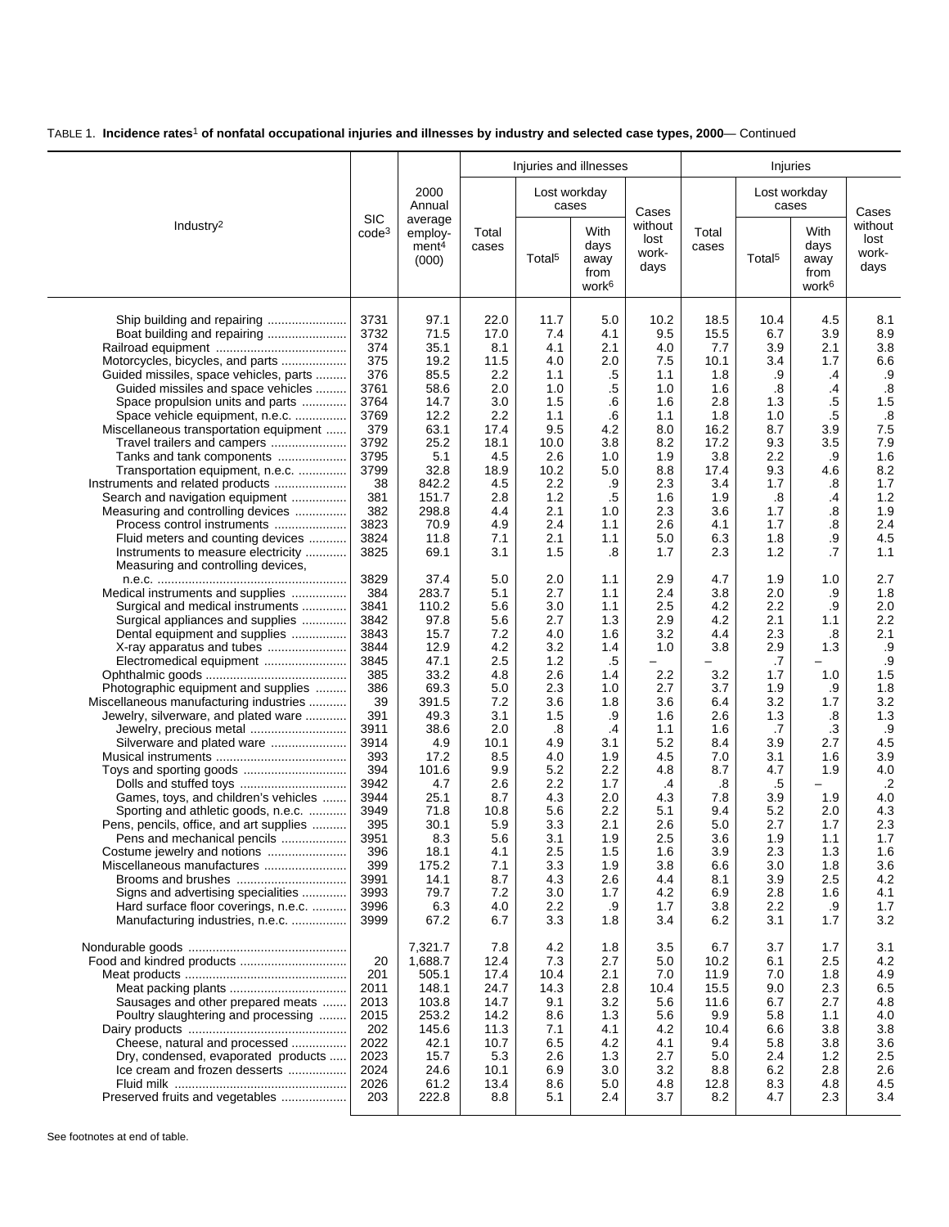|                                                                                                               |                                 |                                                  |                |                    | Injuries and illnesses                            |                                  |                |                    | Injuries                                          |                                  |
|---------------------------------------------------------------------------------------------------------------|---------------------------------|--------------------------------------------------|----------------|--------------------|---------------------------------------------------|----------------------------------|----------------|--------------------|---------------------------------------------------|----------------------------------|
|                                                                                                               |                                 | 2000<br>Annual                                   |                |                    | Lost workday<br>cases                             | Cases                            |                | cases              | Lost workday                                      | Cases                            |
| Industry <sup>2</sup>                                                                                         | <b>SIC</b><br>code <sup>3</sup> | average<br>employ-<br>ment <sup>4</sup><br>(000) | Total<br>cases | Total <sup>5</sup> | With<br>days<br>away<br>from<br>work <sup>6</sup> | without<br>lost<br>work-<br>days | Total<br>cases | Total <sup>5</sup> | With<br>days<br>away<br>from<br>work <sup>6</sup> | without<br>lost<br>work-<br>days |
| Ship building and repairing                                                                                   | 3731                            | 97.1                                             | 22.0           | 11.7               | 5.0                                               | 10.2                             | 18.5           | 10.4               | 4.5                                               | 8.1                              |
| Boat building and repairing                                                                                   | 3732                            | 71.5                                             | 17.0           | 7.4                | 4.1                                               | 9.5                              | 15.5           | 6.7                | 3.9                                               | 8.9                              |
|                                                                                                               | 374                             | 35.1                                             | 8.1            | 4.1                | 2.1                                               | 4.0                              | 7.7            | 3.9                | 2.1                                               | 3.8                              |
| Motorcycles, bicycles, and parts                                                                              | 375                             | 19.2                                             | 11.5           | 4.0                | 2.0                                               | 7.5                              | 10.1           | 3.4                | 1.7                                               | 6.6                              |
| Guided missiles, space vehicles, parts                                                                        | 376                             | 85.5                                             | 2.2            | 1.1                | .5                                                | 1.1                              | 1.8            | .9                 | .4                                                | .9                               |
| Guided missiles and space vehicles                                                                            | 3761                            | 58.6                                             | 2.0            | 1.0                | .5                                                | 1.0                              | 1.6            | .8                 | .4                                                | .8                               |
| Space propulsion units and parts                                                                              | 3764                            | 14.7                                             | 3.0            | 1.5                | .6                                                | 1.6                              | 2.8            | 1.3                | .5                                                | 1.5                              |
| Space vehicle equipment, n.e.c.                                                                               | 3769                            | 12.2                                             | 2.2            | 1.1                | .6                                                | 1.1                              | 1.8            | 1.0                | .5                                                | .8                               |
| Miscellaneous transportation equipment                                                                        | 379                             | 63.1                                             | 17.4           | 9.5                | 4.2                                               | 8.0                              | 16.2           | 8.7                | 3.9                                               | 7.5                              |
| Travel trailers and campers                                                                                   | 3792                            | 25.2                                             | 18.1           | 10.0               | 3.8                                               | 8.2                              | 17.2           | 9.3                | 3.5                                               | 7.9                              |
| Tanks and tank components                                                                                     | 3795                            | 5.1                                              | 4.5            | 2.6                | 1.0                                               | 1.9                              | 3.8            | 2.2                | .9                                                | 1.6                              |
| Transportation equipment, n.e.c.                                                                              | 3799                            | 32.8                                             | 18.9           | 10.2               | 5.0                                               | 8.8                              | 17.4           | 9.3                | 4.6                                               | 8.2                              |
| Instruments and related products                                                                              | 38                              | 842.2                                            | 4.5            | 2.2                | .9                                                | 2.3                              | 3.4            | 1.7                | .8                                                | 1.7                              |
| Search and navigation equipment                                                                               | 381                             | 151.7                                            | 2.8            | 1.2                | .5                                                | 1.6                              | 1.9            | .8                 | .4                                                | 1.2                              |
| Measuring and controlling devices                                                                             | 382                             | 298.8                                            | 4.4            | 2.1                | 1.0                                               | 2.3                              | 3.6            | 1.7                | .8                                                | 1.9                              |
| Process control instruments                                                                                   | 3823                            | 70.9                                             | 4.9            | 2.4                | 1.1                                               | 2.6                              | 4.1            | 1.7                | .8                                                | 2.4                              |
| Fluid meters and counting devices<br>Instruments to measure electricity<br>Measuring and controlling devices, | 3824<br>3825                    | 11.8<br>69.1                                     | 7.1<br>3.1     | 2.1<br>1.5         | 1.1<br>.8                                         | 5.0<br>1.7                       | 6.3<br>2.3     | 1.8<br>1.2         | .9<br>.7                                          | 4.5<br>1.1                       |
|                                                                                                               | 3829                            | 37.4                                             | 5.0            | 2.0                | 1.1                                               | 2.9                              | 4.7            | 1.9                | 1.0                                               | 2.7                              |
| Medical instruments and supplies                                                                              | 384                             | 283.7                                            | 5.1            | 2.7                | 1.1                                               | 2.4                              | 3.8            | 2.0                | .9                                                | 1.8                              |
| Surgical and medical instruments                                                                              | 3841                            | 110.2                                            | 5.6            | 3.0                | 1.1                                               | 2.5                              | 4.2            | 2.2                | .9                                                | 2.0                              |
| Surgical appliances and supplies                                                                              | 3842                            | 97.8                                             | 5.6            | 2.7                | 1.3                                               | 2.9                              | 4.2            | 2.1                | 1.1                                               | $2.2\,$                          |
| Dental equipment and supplies                                                                                 | 3843                            | 15.7                                             | 7.2            | 4.0                | 1.6                                               | 3.2                              | 4.4            | 2.3                | .8                                                | 2.1                              |
|                                                                                                               | 3844                            | 12.9                                             | 4.2            | 3.2                | 1.4                                               | 1.0                              | 3.8            | 2.9                | 1.3                                               | .9                               |
| Electromedical equipment                                                                                      | 3845                            | 47.1                                             | 2.5            | 1.2                | $.5\,$                                            |                                  |                | .7                 |                                                   | .9                               |
|                                                                                                               | 385                             | 33.2                                             | 4.8            | 2.6                | 1.4                                               | 2.2                              | 3.2            | 1.7                | 1.0                                               | 1.5                              |
| Photographic equipment and supplies                                                                           | 386                             | 69.3                                             | 5.0            | 2.3                | 1.0                                               | 2.7                              | 3.7            | 1.9                | .9                                                | 1.8                              |
| Miscellaneous manufacturing industries                                                                        | 39                              | 391.5                                            | 7.2            | 3.6                | 1.8                                               | 3.6                              | 6.4            | 3.2                | 1.7                                               | 3.2                              |
| Jewelry, silverware, and plated ware                                                                          | 391                             | 49.3                                             | 3.1            | 1.5                | .9                                                | 1.6                              | 2.6            | 1.3                | .8                                                | 1.3                              |
| Jewelry, precious metal<br>Silverware and plated ware                                                         | 3911<br>3914                    | 38.6<br>4.9                                      | 2.0<br>10.1    | .8<br>4.9          | $\cdot$<br>3.1                                    | 1.1<br>5.2                       | 1.6<br>8.4     | .7<br>3.9          | .3<br>2.7                                         | .9<br>4.5                        |
|                                                                                                               | 393                             | 17.2                                             | 8.5            | 4.0                | 1.9                                               | 4.5                              | 7.0            | 3.1                | 1.6                                               | 3.9                              |
|                                                                                                               | 394                             | 101.6                                            | 9.9            | 5.2                | 2.2                                               | 4.8                              | 8.7            | 4.7                | 1.9                                               | 4.0                              |
|                                                                                                               | 3942                            | 4.7                                              | 2.6            | 2.2                | 1.7                                               | .4                               | .8             | .5                 |                                                   | $\cdot$ .2                       |
| Games, toys, and children's vehicles                                                                          | 3944                            | 25.1                                             | 8.7            | 4.3                | 2.0                                               | 4.3                              | 7.8            | 3.9                | 1.9                                               | 4.0                              |
| Sporting and athletic goods, n.e.c.                                                                           | 3949                            | 71.8                                             | 10.8           | 5.6                | 2.2                                               | 5.1                              | 9.4            | 5.2                | 2.0                                               | 4.3                              |
| Pens, pencils, office, and art supplies                                                                       | 395                             | 30.1                                             | 5.9            | 3.3                | 2.1                                               | 2.6                              | 5.0            | 2.7                | 1.7                                               | 2.3                              |
| Pens and mechanical pencils                                                                                   | 3951                            | 8.3                                              | 5.6            | 3.1                | 1.9                                               | 2.5                              | 3.6            | 1.9                | 1.1                                               | 1.7                              |
|                                                                                                               | 396                             | 18.1                                             | 4.1            | 2.5                | 1.5                                               | 1.6                              | 3.9            | 2.3                | 1.3                                               | 1.6                              |
| Miscellaneous manufactures                                                                                    | 399                             | 175.2                                            | 7.1            | 3.3                | 1.9                                               | 3.8                              | 6.6            | 3.0                | 1.8                                               | 3.6                              |
| Brooms and brushes                                                                                            | 3991                            | 14.1                                             | 8.7            | 4.3                | 2.6                                               | 4.4                              | 8.1            | 3.9                | 2.5                                               | 4.2                              |
| Signs and advertising specialities                                                                            | 3993                            | 79.7                                             | 7.2            | 3.0                | 1.7                                               | 4.2                              | 6.9            | 2.8                | 1.6                                               | 4.1                              |
| Hard surface floor coverings, n.e.c.                                                                          | 3996                            | 6.3                                              | 4.0            | 2.2                | .9                                                | 1.7                              | 3.8            | 2.2                | .9                                                | 1.7                              |
| Manufacturing industries, n.e.c.                                                                              | 3999                            | 67.2                                             | 6.7            | 3.3                | 1.8                                               | 3.4                              | 6.2            | 3.1                | 1.7                                               | 3.2                              |
|                                                                                                               |                                 | 7,321.7                                          | 7.8            | 4.2                | 1.8                                               | 3.5                              | 6.7            | 3.7                | 1.7                                               | 3.1                              |
|                                                                                                               | 20                              | 1,688.7                                          | 12.4           | 7.3                | 2.7                                               | 5.0                              | 10.2           | 6.1                | 2.5                                               | 4.2                              |
|                                                                                                               | 201                             | 505.1                                            | 17.4           | 10.4               | 2.1                                               | 7.0                              | 11.9           | 7.0                | 1.8                                               | 4.9                              |
|                                                                                                               | 2011                            | 148.1                                            | 24.7           | 14.3               | 2.8                                               | 10.4                             | 15.5           | 9.0                | 2.3                                               | 6.5                              |
| Sausages and other prepared meats                                                                             | 2013                            | 103.8                                            | 14.7           | 9.1                | 3.2                                               | 5.6                              | 11.6           | 6.7                | 2.7                                               | 4.8                              |
| Poultry slaughtering and processing                                                                           | 2015                            | 253.2                                            | 14.2           | 8.6                | 1.3                                               | 5.6                              | 9.9            | 5.8                | 1.1                                               | 4.0                              |
|                                                                                                               | 202                             | 145.6                                            | 11.3           | 7.1                | 4.1                                               | 4.2                              | 10.4           | 6.6                | 3.8                                               | 3.8                              |
| Cheese, natural and processed                                                                                 | 2022                            | 42.1                                             | 10.7           | 6.5                | 4.2                                               | 4.1                              | 9.4            | 5.8                | 3.8                                               | 3.6                              |
| Dry, condensed, evaporated products                                                                           | 2023                            | 15.7                                             | 5.3            | 2.6                | 1.3                                               | 2.7                              | 5.0            | 2.4                | 1.2                                               | 2.5                              |
| Ice cream and frozen desserts                                                                                 | 2024                            | 24.6                                             | 10.1           | 6.9                | 3.0                                               | 3.2                              | 8.8            | 6.2                | 2.8                                               | 2.6                              |
|                                                                                                               | 2026                            | 61.2                                             | 13.4           | 8.6                | 5.0                                               | 4.8                              | 12.8           | 8.3                | 4.8                                               | 4.5                              |
| Preserved fruits and vegetables                                                                               | 203                             | 222.8                                            | 8.8            | 5.1                | 2.4                                               | 3.7                              | 8.2            | 4.7                | 2.3                                               | 3.4                              |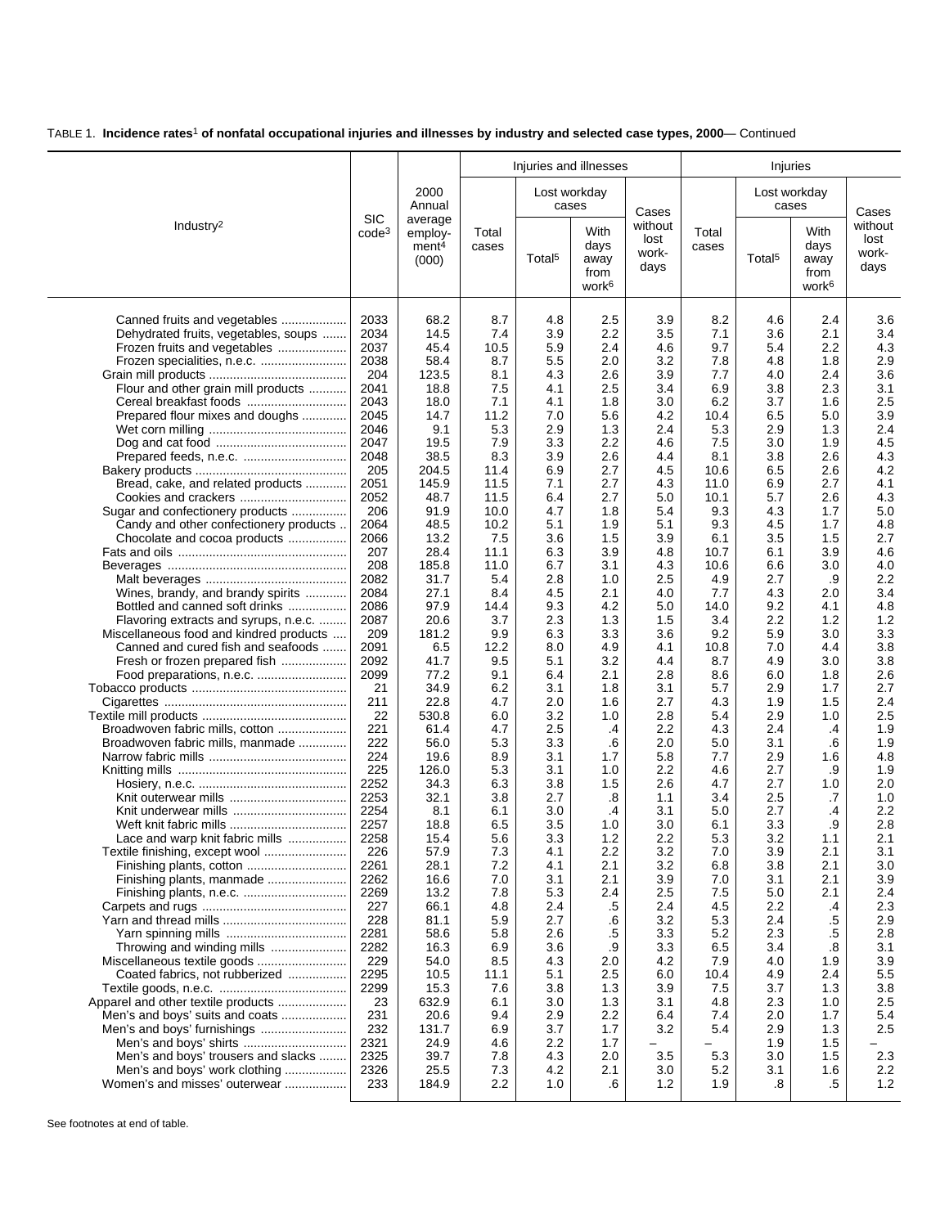|                                                                                                                                |                                 |                                                  |                           |                          | Injuries and illnesses                            |                                  |                           |                          | Injuries                                          |                                  |
|--------------------------------------------------------------------------------------------------------------------------------|---------------------------------|--------------------------------------------------|---------------------------|--------------------------|---------------------------------------------------|----------------------------------|---------------------------|--------------------------|---------------------------------------------------|----------------------------------|
|                                                                                                                                |                                 | 2000<br>Annual                                   |                           |                          | Lost workday<br>cases                             | Cases                            |                           |                          | Lost workday<br>cases                             | Cases                            |
| Industry <sup>2</sup>                                                                                                          | <b>SIC</b><br>code <sup>3</sup> | average<br>employ-<br>ment <sup>4</sup><br>(000) | Total<br>cases            | Total <sup>5</sup>       | With<br>days<br>away<br>from<br>work <sup>6</sup> | without<br>lost<br>work-<br>days | Total<br>cases            | Total <sup>5</sup>       | With<br>days<br>away<br>from<br>work <sup>6</sup> | without<br>lost<br>work-<br>days |
| Canned fruits and vegetables                                                                                                   | 2033                            | 68.2                                             | 8.7                       | 4.8                      | 2.5                                               | 3.9                              | 8.2                       | 4.6                      | 2.4                                               | 3.6                              |
| Dehydrated fruits, vegetables, soups                                                                                           | 2034                            | 14.5                                             | 7.4                       | 3.9                      | 2.2                                               | 3.5                              | 7.1                       | 3.6                      | 2.1                                               | 3.4                              |
| Frozen fruits and vegetables                                                                                                   | 2037                            | 45.4                                             | 10.5                      | 5.9                      | 2.4                                               | 4.6                              | 9.7                       | 5.4                      | 2.2                                               | 4.3                              |
| Frozen specialities, n.e.c.                                                                                                    | 2038                            | 58.4                                             | 8.7                       | 5.5                      | 2.0                                               | 3.2                              | 7.8                       | 4.8                      | 1.8                                               | 2.9                              |
|                                                                                                                                | 204                             | 123.5                                            | 8.1                       | 4.3                      | 2.6                                               | 3.9                              | 7.7                       | 4.0                      | 2.4                                               | 3.6                              |
| Flour and other grain mill products                                                                                            | 2041                            | 18.8                                             | 7.5                       | 4.1                      | 2.5                                               | 3.4                              | 6.9                       | 3.8                      | 2.3                                               | 3.1                              |
|                                                                                                                                | 2043                            | 18.0                                             | 7.1                       | 4.1                      | 1.8                                               | 3.0                              | 6.2                       | 3.7                      | 1.6                                               | 2.5                              |
| Prepared flour mixes and doughs                                                                                                | 2045<br>2046<br>2047<br>2048    | 14.7<br>9.1<br>19.5<br>38.5                      | 11.2<br>5.3<br>7.9<br>8.3 | 7.0<br>2.9<br>3.3<br>3.9 | 5.6<br>1.3<br>2.2<br>2.6                          | 4.2<br>2.4<br>4.6<br>4.4         | 10.4<br>5.3<br>7.5<br>8.1 | 6.5<br>2.9<br>3.0<br>3.8 | 5.0<br>1.3<br>1.9<br>2.6                          | 3.9<br>2.4<br>4.5<br>4.3         |
| Bread, cake, and related products<br>Cookies and crackers                                                                      | 205<br>2051<br>2052             | 204.5<br>145.9<br>48.7                           | 11.4<br>11.5<br>11.5      | 6.9<br>7.1<br>6.4        | 2.7<br>2.7<br>2.7                                 | 4.5<br>4.3<br>5.0                | 10.6<br>11.0<br>10.1      | 6.5<br>6.9<br>5.7        | 2.6<br>2.7<br>2.6                                 | 4.2<br>4.1<br>4.3                |
| Sugar and confectionery products                                                                                               | 206                             | 91.9                                             | 10.0                      | 4.7                      | 1.8                                               | 5.4                              | 9.3                       | 4.3                      | 1.7                                               | 5.0                              |
| Candy and other confectionery products                                                                                         | 2064                            | 48.5                                             | 10.2                      | 5.1                      | 1.9                                               | 5.1                              | 9.3                       | 4.5                      | 1.7                                               | 4.8                              |
| Chocolate and cocoa products                                                                                                   | 2066                            | 13.2                                             | 7.5                       | 3.6                      | 1.5                                               | 3.9                              | 6.1                       | 3.5                      | 1.5                                               | 2.7                              |
|                                                                                                                                | 207                             | 28.4                                             | 11.1                      | 6.3                      | 3.9                                               | 4.8                              | 10.7                      | 6.1                      | 3.9                                               | 4.6                              |
|                                                                                                                                | 208                             | 185.8                                            | 11.0                      | 6.7                      | 3.1                                               | 4.3                              | 10.6                      | 6.6                      | 3.0                                               | 4.0                              |
|                                                                                                                                | 2082                            | 31.7                                             | 5.4                       | 2.8                      | 1.0                                               | 2.5                              | 4.9                       | 2.7                      | .9                                                | 2.2                              |
| Wines, brandy, and brandy spirits                                                                                              | 2084                            | 27.1                                             | 8.4                       | 4.5                      | 2.1                                               | 4.0                              | 7.7                       | 4.3                      | 2.0                                               | 3.4                              |
| Bottled and canned soft drinks                                                                                                 | 2086                            | 97.9                                             | 14.4                      | 9.3                      | 4.2                                               | 5.0                              | 14.0                      | 9.2                      | 4.1                                               | 4.8                              |
| Flavoring extracts and syrups, n.e.c.                                                                                          | 2087                            | 20.6                                             | 3.7                       | 2.3                      | 1.3                                               | 1.5                              | 3.4                       | 2.2                      | 1.2                                               | 1.2                              |
| Miscellaneous food and kindred products                                                                                        | 209                             | 181.2                                            | 9.9                       | 6.3                      | 3.3                                               | 3.6                              | 9.2                       | 5.9                      | 3.0                                               | 3.3                              |
| Canned and cured fish and seafoods                                                                                             | 2091                            | 6.5                                              | 12.2                      | 8.0                      | 4.9                                               | 4.1                              | 10.8                      | 7.0                      | 4.4                                               | 3.8                              |
| Fresh or frozen prepared fish                                                                                                  | 2092                            | 41.7                                             | 9.5                       | 5.1                      | 3.2                                               | 4.4                              | 8.7                       | 4.9                      | 3.0                                               | 3.8                              |
|                                                                                                                                | 2099                            | 77.2                                             | 9.1                       | 6.4                      | 2.1                                               | 2.8                              | 8.6                       | 6.0                      | 1.8                                               | 2.6                              |
|                                                                                                                                | 21                              | 34.9                                             | 6.2                       | 3.1                      | 1.8                                               | 3.1                              | 5.7                       | 2.9                      | 1.7                                               | 2.7                              |
|                                                                                                                                | 211                             | 22.8                                             | 4.7                       | 2.0                      | 1.6                                               | 2.7                              | 4.3                       | 1.9                      | 1.5                                               | 2.4                              |
|                                                                                                                                | 22                              | 530.8                                            | 6.0                       | 3.2                      | 1.0                                               | 2.8                              | 5.4                       | 2.9                      | 1.0                                               | 2.5                              |
| Broadwoven fabric mills, cotton                                                                                                | 221                             | 61.4                                             | 4.7                       | 2.5                      | $\cdot$                                           | 2.2                              | 4.3                       | 2.4                      | .4                                                | 1.9                              |
| Broadwoven fabric mills, manmade                                                                                               | 222                             | 56.0                                             | 5.3                       | 3.3                      | .6                                                | 2.0                              | 5.0                       | 3.1                      | .6                                                | 1.9                              |
|                                                                                                                                | 224                             | 19.6                                             | 8.9                       | 3.1                      | 1.7                                               | 5.8                              | 7.7                       | 2.9                      | 1.6                                               | 4.8                              |
|                                                                                                                                | 225                             | 126.0                                            | 5.3                       | 3.1                      | 1.0                                               | 2.2                              | 4.6                       | 2.7                      | .9                                                | 1.9                              |
|                                                                                                                                | 2252                            | 34.3                                             | 6.3                       | 3.8                      | 1.5                                               | 2.6                              | 4.7                       | 2.7                      | 1.0                                               | 2.0                              |
|                                                                                                                                | 2253                            | 32.1                                             | 3.8                       | 2.7                      | .8                                                | 1.1                              | 3.4                       | 2.5                      | .7                                                | 1.0                              |
| Knit underwear mills<br>Lace and warp knit fabric mills                                                                        | 2254<br>2257<br>2258            | 8.1<br>18.8<br>15.4                              | 6.1<br>6.5<br>5.6         | 3.0<br>3.5<br>3.3        | .4<br>1.0<br>1.2<br>2.2                           | 3.1<br>3.0<br>2.2                | 5.0<br>6.1<br>5.3         | 2.7<br>3.3<br>3.2        | $\cdot$<br>.9<br>1.1                              | 2.2<br>2.8<br>2.1                |
| Textile finishing, except wool<br>Finishing plants, manmade                                                                    | 226<br>2261<br>2262<br>2269     | 57.9<br>28.1<br>16.6<br>13.2                     | 7.3<br>7.2<br>7.0<br>7.8  | 4.1<br>4.1<br>3.1<br>5.3 | 2.1<br>2.1<br>2.4                                 | 3.2<br>3.2<br>3.9<br>2.5         | 7.0<br>6.8<br>7.0<br>7.5  | 3.9<br>3.8<br>3.1<br>5.0 | 2.1<br>2.1<br>2.1<br>2.1                          | 3.1<br>3.0<br>3.9<br>2.4         |
|                                                                                                                                | 227                             | 66.1                                             | 4.8                       | 2.4                      | .5                                                | 2.4                              | 4.5                       | 2.2                      | .4                                                | 2.3                              |
|                                                                                                                                | 228                             | 81.1                                             | 5.9                       | 2.7                      | .6                                                | 3.2                              | 5.3                       | 2.4                      | .5                                                | 2.9                              |
|                                                                                                                                | 2281                            | 58.6                                             | 5.8                       | 2.6                      | .5                                                | 3.3                              | 5.2                       | 2.3                      | .5                                                | 2.8                              |
| Throwing and winding mills                                                                                                     | 2282                            | 16.3                                             | 6.9                       | 3.6                      | .9                                                | 3.3                              | 6.5                       | 3.4                      | .8                                                | 3.1                              |
| Miscellaneous textile goods                                                                                                    | 229                             | 54.0                                             | 8.5                       | 4.3                      | 2.0                                               | 4.2                              | 7.9                       | 4.0                      | 1.9                                               | 3.9                              |
| Coated fabrics, not rubberized                                                                                                 | 2295                            | 10.5                                             | 11.1                      | 5.1                      | 2.5                                               | 6.0                              | 10.4                      | 4.9                      | 2.4                                               | 5.5                              |
|                                                                                                                                | 2299                            | 15.3                                             | 7.6                       | 3.8                      | 1.3                                               | 3.9                              | 7.5                       | 3.7                      | 1.3                                               | 3.8                              |
| Apparel and other textile products<br>Men's and boys' suits and coats<br>Men's and boys' furnishings<br>Men's and boys' shirts | 23<br>231<br>232<br>2321        | 632.9<br>20.6<br>131.7<br>24.9                   | 6.1<br>9.4<br>6.9<br>4.6  | 3.0<br>2.9<br>3.7<br>2.2 | 1.3<br>2.2<br>1.7<br>1.7                          | 3.1<br>6.4<br>3.2                | 4.8<br>7.4<br>5.4         | 2.3<br>2.0<br>2.9<br>1.9 | 1.0<br>1.7<br>1.3<br>1.5                          | 2.5<br>5.4<br>2.5                |
| Men's and boys' trousers and slacks                                                                                            | 2325                            | 39.7                                             | 7.8                       | 4.3                      | 2.0                                               | 3.5                              | 5.3                       | 3.0                      | 1.5                                               | 2.3                              |
| Men's and boys' work clothing                                                                                                  | 2326                            | 25.5                                             | 7.3                       | 4.2                      | 2.1                                               | 3.0                              | 5.2                       | 3.1                      | 1.6                                               | 2.2                              |
| Women's and misses' outerwear                                                                                                  | 233                             | 184.9                                            | 2.2                       | 1.0                      | .6                                                | 1.2                              | 1.9                       | .8                       | .5                                                | 1.2                              |

See footnotes at end of table.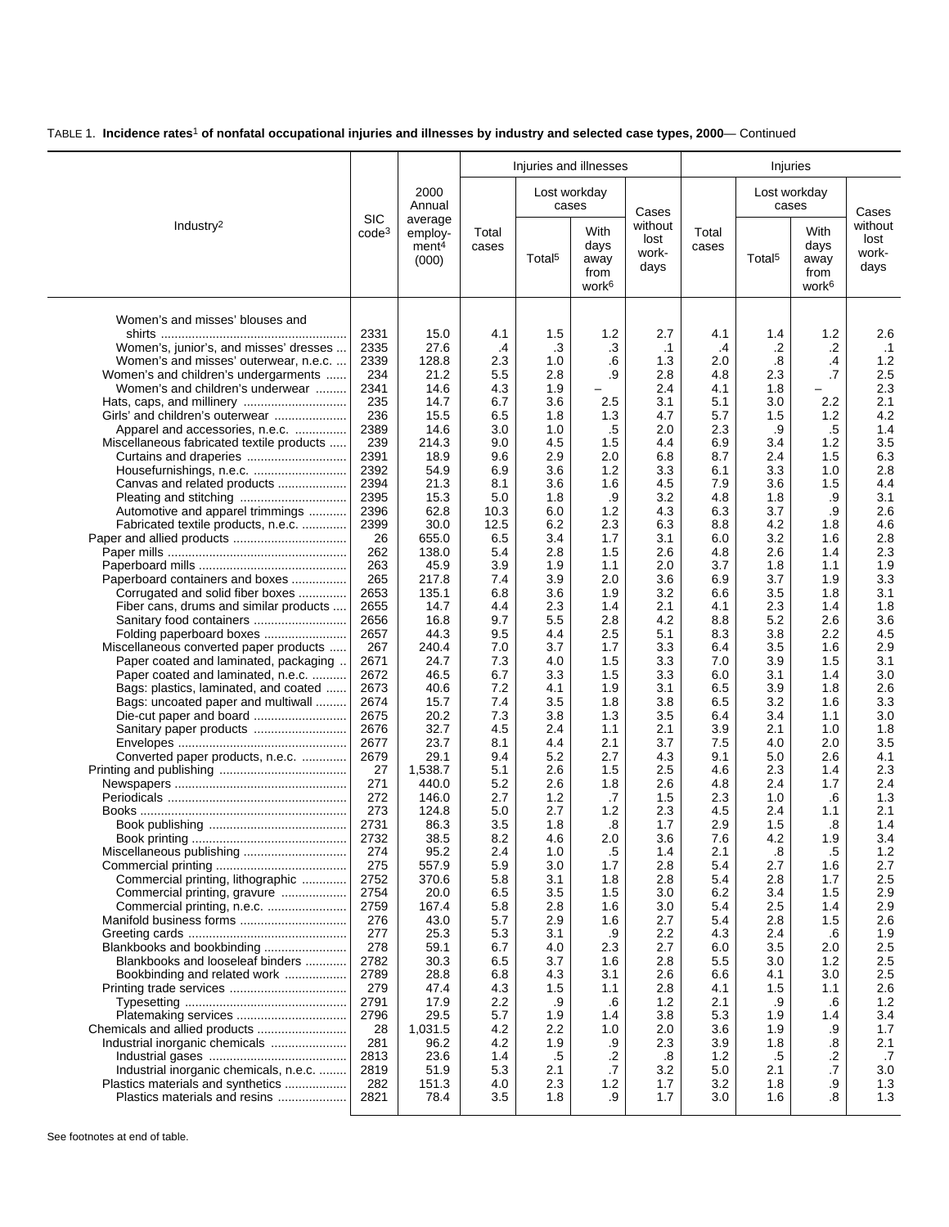|                                                                                 |                                 |                                                  |                |                    | Injuries and illnesses                            |                                  |                |                    | Injuries                                          |                                  |
|---------------------------------------------------------------------------------|---------------------------------|--------------------------------------------------|----------------|--------------------|---------------------------------------------------|----------------------------------|----------------|--------------------|---------------------------------------------------|----------------------------------|
|                                                                                 |                                 | 2000<br>Annual                                   |                |                    | Lost workday<br>cases                             | Cases                            |                | Lost workday       | cases                                             | Cases                            |
| Industry <sup>2</sup>                                                           | <b>SIC</b><br>code <sup>3</sup> | average<br>employ-<br>ment <sup>4</sup><br>(000) | Total<br>cases | Total <sup>5</sup> | With<br>days<br>away<br>from<br>work <sup>6</sup> | without<br>lost<br>work-<br>days | Total<br>cases | Total <sup>5</sup> | With<br>days<br>away<br>from<br>work <sup>6</sup> | without<br>lost<br>work-<br>days |
| Women's and misses' blouses and                                                 |                                 |                                                  |                |                    |                                                   |                                  |                |                    |                                                   |                                  |
|                                                                                 | 2331                            | 15.0                                             | 4.1            | 1.5                | 1.2                                               | 2.7                              | 4.1            | 1.4                | 1.2                                               | 2.6                              |
| Women's, junior's, and misses' dresses                                          | 2335                            | 27.6                                             | .4             | .3                 | .3                                                | .1                               | .4             | .2                 | $\cdot$                                           | $\cdot$ 1                        |
| Women's and misses' outerwear, n.e.c.                                           | 2339<br>234                     | 128.8<br>21.2                                    | 2.3<br>5.5     | 1.0<br>2.8         | .6<br>.9                                          | 1.3<br>2.8                       | 2.0<br>4.8     | .8<br>2.3          | .4<br>.7                                          | 1.2<br>2.5                       |
| Women's and children's undergarments<br>Women's and children's underwear        | 2341                            | 14.6                                             | 4.3            | 1.9                |                                                   | 2.4                              | 4.1            | 1.8                |                                                   | 2.3                              |
|                                                                                 | 235                             | 14.7                                             | 6.7            | 3.6                | 2.5                                               | 3.1                              | 5.1            | 3.0                | 2.2                                               | 2.1                              |
|                                                                                 | 236                             | 15.5                                             | 6.5            | 1.8                | 1.3                                               | 4.7                              | 5.7            | 1.5                | 1.2                                               | 4.2                              |
| Apparel and accessories, n.e.c.                                                 | 2389                            | 14.6                                             | 3.0            | 1.0                | .5                                                | 2.0                              | 2.3            | .9                 | .5                                                | 1.4                              |
| Miscellaneous fabricated textile products                                       | 239                             | 214.3                                            | 9.0            | 4.5                | 1.5                                               | 4.4                              | 6.9            | 3.4                | 1.2                                               | 3.5                              |
| Curtains and draperies                                                          | 2391                            | 18.9                                             | 9.6            | 2.9                | 2.0                                               | 6.8                              | 8.7            | 2.4                | 1.5                                               | 6.3                              |
| Housefurnishings, n.e.c.                                                        | 2392                            | 54.9                                             | 6.9            | 3.6                | 1.2                                               | 3.3                              | 6.1            | 3.3                | 1.0                                               | 2.8                              |
| Canvas and related products                                                     | 2394                            | 21.3                                             | 8.1            | 3.6                | 1.6                                               | 4.5                              | 7.9            | 3.6                | 1.5                                               | 4.4                              |
| Pleating and stitching<br>Automotive and apparel trimmings                      | 2395<br>2396                    | 15.3<br>62.8                                     | 5.0<br>10.3    | 1.8<br>6.0         | .9<br>1.2                                         | 3.2<br>4.3                       | 4.8<br>6.3     | 1.8<br>3.7         | .9<br>.9                                          | 3.1<br>2.6                       |
| Fabricated textile products, n.e.c.                                             | 2399                            | 30.0                                             | 12.5           | 6.2                | 2.3                                               | 6.3                              | 8.8            | 4.2                | 1.8                                               | 4.6                              |
|                                                                                 | 26                              | 655.0                                            | 6.5            | 3.4                | 1.7                                               | 3.1                              | 6.0            | 3.2                | 1.6                                               | 2.8                              |
|                                                                                 | 262                             | 138.0                                            | 5.4            | 2.8                | 1.5                                               | 2.6                              | 4.8            | 2.6                | 1.4                                               | 2.3                              |
|                                                                                 | 263                             | 45.9                                             | 3.9            | 1.9                | 1.1                                               | 2.0                              | 3.7            | 1.8                | 1.1                                               | 1.9                              |
| Paperboard containers and boxes                                                 | 265                             | 217.8                                            | 7.4            | 3.9                | 2.0                                               | 3.6                              | 6.9            | 3.7                | 1.9                                               | 3.3                              |
| Corrugated and solid fiber boxes                                                | 2653                            | 135.1                                            | 6.8            | 3.6                | 1.9                                               | 3.2                              | 6.6            | 3.5                | 1.8                                               | 3.1                              |
| Fiber cans, drums and similar products                                          | 2655                            | 14.7                                             | 4.4            | 2.3                | 1.4                                               | 2.1                              | 4.1            | 2.3                | 1.4                                               | 1.8                              |
|                                                                                 | 2656                            | 16.8                                             | 9.7            | 5.5                | 2.8                                               | 4.2                              | 8.8            | 5.2                | 2.6                                               | 3.6                              |
| Folding paperboard boxes                                                        | 2657                            | 44.3                                             | 9.5            | 4.4                | 2.5                                               | 5.1                              | 8.3            | 3.8<br>3.5         | 2.2                                               | 4.5<br>2.9                       |
| Miscellaneous converted paper products<br>Paper coated and laminated, packaging | 267<br>2671                     | 240.4<br>24.7                                    | 7.0<br>7.3     | 3.7<br>4.0         | 1.7<br>1.5                                        | 3.3<br>3.3                       | 6.4<br>7.0     | 3.9                | 1.6<br>1.5                                        | 3.1                              |
| Paper coated and laminated, n.e.c.                                              | 2672                            | 46.5                                             | 6.7            | 3.3                | 1.5                                               | 3.3                              | 6.0            | 3.1                | 1.4                                               | 3.0                              |
| Bags: plastics, laminated, and coated                                           | 2673                            | 40.6                                             | 7.2            | 4.1                | 1.9                                               | 3.1                              | 6.5            | 3.9                | 1.8                                               | 2.6                              |
| Bags: uncoated paper and multiwall                                              | 2674                            | 15.7                                             | 7.4            | 3.5                | 1.8                                               | 3.8                              | 6.5            | 3.2                | 1.6                                               | 3.3                              |
| Die-cut paper and board                                                         | 2675                            | 20.2                                             | 7.3            | 3.8                | 1.3                                               | 3.5                              | 6.4            | 3.4                | 1.1                                               | 3.0                              |
| Sanitary paper products                                                         | 2676                            | 32.7                                             | 4.5            | 2.4                | 1.1                                               | 2.1                              | 3.9            | 2.1                | 1.0                                               | 1.8                              |
|                                                                                 | 2677                            | 23.7                                             | 8.1            | 4.4                | 2.1                                               | 3.7                              | 7.5            | 4.0                | 2.0                                               | 3.5                              |
| Converted paper products, n.e.c.                                                | 2679                            | 29.1                                             | 9.4            | 5.2                | 2.7                                               | 4.3                              | 9.1            | 5.0                | 2.6                                               | 4.1                              |
|                                                                                 | 27<br>271                       | 1,538.7<br>440.0                                 | 5.1<br>5.2     | 2.6<br>2.6         | 1.5<br>1.8                                        | 2.5<br>2.6                       | 4.6<br>4.8     | 2.3<br>2.4         | 1.4<br>1.7                                        | 2.3<br>2.4                       |
|                                                                                 | 272                             | 146.0                                            | 2.7            | 1.2                | .7                                                | 1.5                              | 2.3            | 1.0                | .6                                                | 1.3                              |
|                                                                                 | 273                             | 124.8                                            | 5.0            | 2.7                | 1.2                                               | 2.3                              | 4.5            | 2.4                | 1.1                                               | 2.1                              |
|                                                                                 | 2731                            | 86.3                                             | 3.5            | 1.8                | .8                                                | 1.7                              | 2.9            | 1.5                | .8                                                | 1.4                              |
|                                                                                 | 2732                            | 38.5                                             | 8.2            | 4.6                | 2.0                                               | 3.6                              | 7.6            | 4.2                | 1.9                                               | 3.4                              |
| Miscellaneous publishing                                                        | 274                             | 95.2                                             | 2.4            | 1.0                | .5                                                | 1.4                              | 2.1            | .8                 | .5                                                | 1.2                              |
|                                                                                 | 275                             | 557.9                                            | 5.9            | 3.0                | 1.7                                               | 2.8                              | 5.4            | 2.7                | 1.6                                               | 2.7                              |
| Commercial printing, lithographic                                               | 2752                            | 370.6                                            | 5.8            | 3.1                | 1.8                                               | 2.8                              | 5.4            | 2.8                | 1.7                                               | 2.5                              |
| Commercial printing, gravure                                                    | 2754                            | 20.0                                             | 6.5            | 3.5                | 1.5                                               | 3.0                              | 6.2            | 3.4                | 1.5                                               | 2.9                              |
| Commercial printing, n.e.c.                                                     | 2759<br>276                     | 167.4<br>43.0                                    | 5.8<br>5.7     | 2.8<br>2.9         | 1.6<br>1.6                                        | 3.0<br>2.7                       | 5.4<br>5.4     | 2.5<br>2.8         | 1.4<br>1.5                                        | 2.9<br>2.6                       |
|                                                                                 | 277                             | 25.3                                             | 5.3            | 3.1                | .9                                                | 2.2                              | 4.3            | 2.4                | .6                                                | 1.9                              |
| Blankbooks and bookbinding                                                      | 278                             | 59.1                                             | 6.7            | 4.0                | 2.3                                               | 2.7                              | 6.0            | 3.5                | 2.0                                               | 2.5                              |
| Blankbooks and looseleaf binders                                                | 2782                            | 30.3                                             | 6.5            | 3.7                | 1.6                                               | 2.8                              | 5.5            | 3.0                | 1.2                                               | 2.5                              |
| Bookbinding and related work                                                    | 2789                            | 28.8                                             | 6.8            | 4.3                | 3.1                                               | 2.6                              | 6.6            | 4.1                | 3.0                                               | 2.5                              |
|                                                                                 | 279                             | 47.4                                             | 4.3            | 1.5                | 1.1                                               | 2.8                              | 4.1            | 1.5                | 1.1                                               | 2.6                              |
|                                                                                 | 2791                            | 17.9                                             | 2.2            | .9                 | .6                                                | 1.2                              | 2.1            | .9                 | .6                                                | 1.2                              |
|                                                                                 | 2796                            | 29.5                                             | 5.7            | 1.9                | 1.4                                               | 3.8                              | 5.3            | 1.9                | 1.4                                               | 3.4                              |
|                                                                                 | 28                              | 1,031.5                                          | 4.2            | 2.2                | 1.0                                               | 2.0                              | 3.6            | 1.9                | .9                                                | 1.7                              |
| Industrial inorganic chemicals                                                  | 281<br>2813                     | 96.2<br>23.6                                     | 4.2<br>1.4     | 1.9<br>.5          | .9<br>.2                                          | 2.3<br>.8                        | 3.9<br>1.2     | 1.8<br>.5          | .8<br>.2                                          | 2.1<br>.7                        |
| Industrial inorganic chemicals, n.e.c.                                          | 2819                            | 51.9                                             | 5.3            | 2.1                | .7                                                | 3.2                              | 5.0            | 2.1                | .7                                                | 3.0                              |
| Plastics materials and synthetics                                               | 282                             | 151.3                                            | 4.0            | 2.3                | 1.2                                               | 1.7                              | 3.2            | 1.8                | .9                                                | 1.3                              |
| Plastics materials and resins                                                   | 2821                            | 78.4                                             | 3.5            | 1.8                | .9                                                | 1.7                              | 3.0            | 1.6                | .8                                                | 1.3                              |
|                                                                                 |                                 |                                                  |                |                    |                                                   |                                  |                |                    |                                                   |                                  |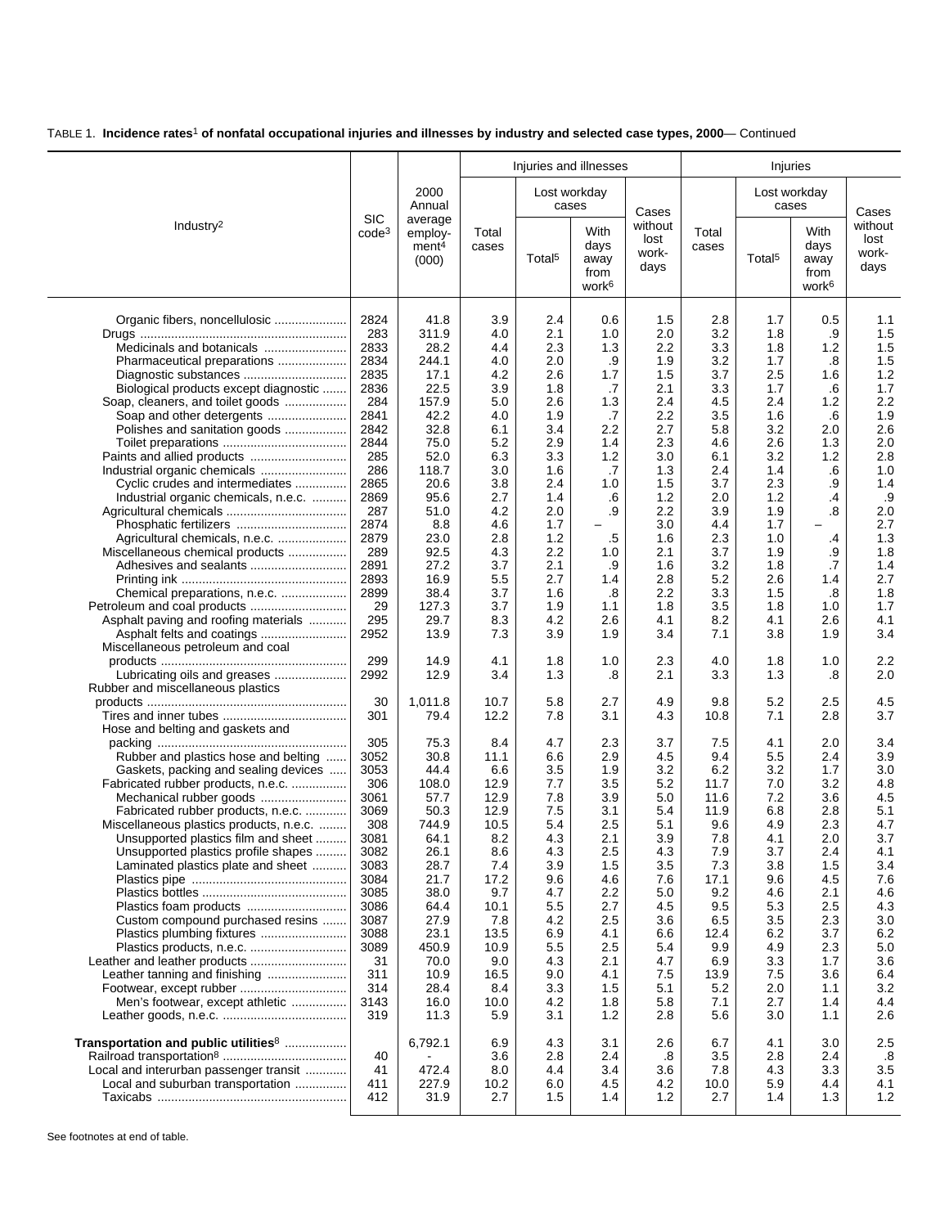|                                                                             |                                 | Injuries and illnesses<br>2000<br>Lost workday   |                |                    |                                                   |                                  |                |                    | Injuries                                          |                                  |
|-----------------------------------------------------------------------------|---------------------------------|--------------------------------------------------|----------------|--------------------|---------------------------------------------------|----------------------------------|----------------|--------------------|---------------------------------------------------|----------------------------------|
|                                                                             |                                 | Annual                                           |                |                    | cases                                             | Cases                            |                | Lost workday       | cases                                             | Cases                            |
| Industry <sup>2</sup>                                                       | <b>SIC</b><br>code <sup>3</sup> | average<br>employ-<br>ment <sup>4</sup><br>(000) | Total<br>cases | Total <sup>5</sup> | With<br>days<br>away<br>from<br>work <sup>6</sup> | without<br>lost<br>work-<br>days | Total<br>cases | Total <sup>5</sup> | With<br>days<br>away<br>from<br>work <sup>6</sup> | without<br>lost<br>work-<br>days |
| Organic fibers, noncellulosic                                               | 2824                            | 41.8                                             | 3.9            | 2.4                | 0.6                                               | 1.5                              | 2.8            | 1.7                | 0.5                                               | 1.1                              |
|                                                                             | 283                             | 311.9                                            | 4.0            | 2.1                | 1.0                                               | 2.0                              | 3.2            | 1.8                | .9                                                | 1.5                              |
| Medicinals and botanicals                                                   | 2833                            | 28.2                                             | 4.4            | 2.3                | 1.3                                               | 2.2                              | 3.3            | 1.8                | 1.2                                               | 1.5                              |
| Pharmaceutical preparations                                                 | 2834                            | 244.1                                            | 4.0            | 2.0                | .9                                                | 1.9                              | 3.2            | 1.7                | .8                                                | 1.5                              |
| Diagnostic substances                                                       | 2835                            | 17.1                                             | 4.2            | 2.6                | 1.7                                               | 1.5                              | 3.7            | 2.5                | 1.6                                               | 1.2                              |
| Biological products except diagnostic<br>Soap, cleaners, and toilet goods   | 2836<br>284                     | 22.5<br>157.9                                    | 3.9<br>5.0     | 1.8<br>2.6         | .7<br>1.3                                         | 2.1<br>2.4                       | 3.3<br>4.5     | 1.7<br>2.4         | .6<br>1.2                                         | 1.7<br>2.2                       |
| Soap and other detergents                                                   | 2841                            | 42.2                                             | 4.0            | 1.9                | .7                                                | 2.2                              | 3.5            | 1.6                | .6                                                | 1.9                              |
| Polishes and sanitation goods                                               | 2842                            | 32.8                                             | 6.1            | 3.4                | 2.2                                               | 2.7                              | 5.8            | 3.2                | 2.0                                               | 2.6                              |
|                                                                             | 2844                            | 75.0                                             | 5.2            | 2.9                | 1.4                                               | 2.3                              | 4.6            | 2.6                | 1.3                                               | 2.0                              |
|                                                                             | 285                             | 52.0                                             | 6.3            | 3.3                | 1.2                                               | 3.0                              | 6.1            | 3.2                | 1.2                                               | 2.8                              |
| Industrial organic chemicals                                                | 286                             | 118.7                                            | 3.0            | 1.6                | .7                                                | 1.3                              | 2.4            | 1.4                | .6                                                | 1.0                              |
| Cyclic crudes and intermediates                                             | 2865                            | 20.6                                             | 3.8            | 2.4                | 1.0                                               | 1.5                              | 3.7            | 2.3                | .9                                                | 1.4                              |
| Industrial organic chemicals, n.e.c.                                        | 2869                            | 95.6                                             | 2.7            | 1.4                | .6                                                | 1.2                              | 2.0            | 1.2                | .4                                                | .9                               |
| Phosphatic fertilizers                                                      | 287<br>2874                     | 51.0<br>8.8                                      | 4.2<br>4.6     | 2.0<br>1.7         | .9                                                | 2.2<br>3.0                       | 3.9<br>4.4     | 1.9<br>1.7         | .8                                                | 2.0<br>2.7                       |
| Agricultural chemicals, n.e.c.                                              | 2879                            | 23.0                                             | 2.8            | 1.2                | .5                                                | 1.6                              | 2.3            | 1.0                | .4                                                | 1.3                              |
| Miscellaneous chemical products                                             | 289                             | 92.5                                             | 4.3            | 2.2                | 1.0                                               | 2.1                              | 3.7            | 1.9                | .9                                                | 1.8                              |
| Adhesives and sealants                                                      | 2891                            | 27.2                                             | 3.7            | 2.1                | .9                                                | 1.6                              | 3.2            | 1.8                | .7                                                | 1.4                              |
|                                                                             | 2893                            | 16.9                                             | 5.5            | 2.7                | 1.4                                               | 2.8                              | 5.2            | 2.6                | 1.4                                               | 2.7                              |
| Chemical preparations, n.e.c.                                               | 2899                            | 38.4                                             | 3.7            | 1.6                | .8                                                | 2.2                              | 3.3            | 1.5                | .8                                                | 1.8                              |
| Petroleum and coal products                                                 | 29                              | 127.3                                            | 3.7            | 1.9                | 1.1                                               | 1.8                              | 3.5            | 1.8                | 1.0                                               | 1.7                              |
| Asphalt paving and roofing materials                                        | 295                             | 29.7                                             | 8.3            | 4.2                | 2.6                                               | 4.1                              | 8.2            | 4.1                | 2.6                                               | 4.1                              |
| Asphalt felts and coatings<br>Miscellaneous petroleum and coal              | 2952                            | 13.9                                             | 7.3            | 3.9                | 1.9                                               | 3.4                              | 7.1            | 3.8                | 1.9                                               | 3.4                              |
|                                                                             | 299                             | 14.9                                             | 4.1            | 1.8                | 1.0                                               | 2.3                              | 4.0            | 1.8                | 1.0                                               | 2.2                              |
| Lubricating oils and greases                                                | 2992                            | 12.9                                             | 3.4            | 1.3                | .8                                                | 2.1                              | 3.3            | 1.3                | .8                                                | 2.0                              |
| Rubber and miscellaneous plastics                                           |                                 |                                                  |                |                    |                                                   |                                  |                |                    |                                                   |                                  |
|                                                                             | 30                              | 1,011.8                                          | 10.7           | 5.8                | 2.7                                               | 4.9                              | 9.8            | 5.2                | 2.5                                               | 4.5                              |
|                                                                             | 301                             | 79.4                                             | 12.2           | 7.8                | 3.1                                               | 4.3                              | 10.8           | 7.1                | 2.8                                               | 3.7                              |
| Hose and belting and gaskets and                                            | 305                             | 75.3                                             | 8.4            | 4.7                | 2.3                                               | 3.7                              | 7.5            | 4.1                | 2.0                                               | 3.4                              |
| Rubber and plastics hose and belting<br>$\ldots$                            | 3052                            | 30.8                                             | 11.1           | 6.6                | 2.9                                               | 4.5                              | 9.4            | 5.5                | 2.4                                               | 3.9                              |
| Gaskets, packing and sealing devices                                        | 3053                            | 44.4                                             | 6.6            | 3.5                | 1.9                                               | 3.2                              | 6.2            | 3.2                | 1.7                                               | 3.0                              |
| Fabricated rubber products, n.e.c.                                          | 306                             | 108.0                                            | 12.9           | 7.7                | 3.5                                               | 5.2                              | 11.7           | 7.0                | 3.2                                               | 4.8                              |
|                                                                             | 3061                            | 57.7                                             | 12.9           | 7.8                | 3.9                                               | 5.0                              | 11.6           | 7.2                | 3.6                                               | 4.5                              |
| Fabricated rubber products, n.e.c.                                          | 3069                            | 50.3                                             | 12.9           | 7.5                | 3.1                                               | 5.4                              | 11.9           | 6.8                | 2.8                                               | 5.1                              |
| Miscellaneous plastics products, n.e.c.                                     | 308<br>3081                     | 744.9                                            | 10.5           | 5.4                | 2.5                                               | 5.1                              | 9.6            | 4.9                | 2.3                                               | 4.7                              |
| Unsupported plastics film and sheet<br>Unsupported plastics profile shapes  | 3082                            | 64.1<br>26.1                                     | 8.2<br>8.6     | 4.3<br>4.3         | 2.1<br>2.5                                        | 3.9<br>4.3                       | 7.8<br>7.9     | 4.1<br>3.7         | 2.0<br>2.4                                        | 3.7<br>4.1                       |
| Laminated plastics plate and sheet                                          | 3083                            | 28.7                                             | 7.4            | 3.9                | 1.5                                               | 3.5                              | 7.3            | 3.8                | 1.5                                               | 3.4                              |
|                                                                             | 3084                            | 21.7                                             | 17.2           | 9.6                | 4.6                                               | 7.6                              | 17.1           | 9.6                | 4.5                                               | 7.6                              |
|                                                                             | 3085                            | 38.0                                             | 9.7            | 4.7                | 2.2                                               | 5.0                              | 9.2            | 4.6                | 2.1                                               | 4.6                              |
|                                                                             | 3086                            | 64.4                                             | 10.1           | 5.5                | 2.7                                               | 4.5                              | 9.5            | 5.3                | 2.5                                               | 4.3                              |
| Custom compound purchased resins                                            | 3087                            | 27.9                                             | 7.8            | 4.2                | 2.5                                               | 3.6                              | 6.5            | 3.5                | 2.3                                               | 3.0                              |
| Plastics plumbing fixtures                                                  | 3088<br>3089                    | 23.1<br>450.9                                    | 13.5<br>10.9   | 6.9<br>5.5         | 4.1<br>2.5                                        | 6.6<br>5.4                       | 12.4<br>9.9    | 6.2<br>4.9         | 3.7<br>2.3                                        | 6.2<br>5.0                       |
| Leather and leather products                                                | 31                              | 70.0                                             | 9.0            | 4.3                | 2.1                                               | 4.7                              | 6.9            | 3.3                | 1.7                                               | 3.6                              |
|                                                                             | 311                             | 10.9                                             | 16.5           | 9.0                | 4.1                                               | 7.5                              | 13.9           | 7.5                | 3.6                                               | 6.4                              |
|                                                                             | 314                             | 28.4                                             | 8.4            | 3.3                | 1.5                                               | 5.1                              | 5.2            | 2.0                | 1.1                                               | 3.2                              |
| Men's footwear, except athletic                                             | 3143                            | 16.0                                             | 10.0           | 4.2                | 1.8                                               | 5.8                              | 7.1            | 2.7                | 1.4                                               | 4.4                              |
|                                                                             | 319                             | 11.3                                             | 5.9            | 3.1                | 1.2                                               | 2.8                              | 5.6            | 3.0                | 1.1                                               | 2.6                              |
| Transportation and public utilities <sup>8</sup>                            |                                 | 6,792.1                                          | 6.9            | 4.3                | 3.1                                               | 2.6                              | 6.7            | 4.1                | 3.0                                               | 2.5                              |
|                                                                             | 40                              |                                                  | 3.6            | 2.8                | 2.4                                               | .8                               | 3.5            | 2.8                | 2.4                                               | .8                               |
| Local and interurban passenger transit<br>Local and suburban transportation | 41<br>411                       | 472.4<br>227.9                                   | 8.0<br>10.2    | 4.4<br>6.0         | 3.4<br>4.5                                        | 3.6<br>4.2                       | 7.8<br>10.0    | 4.3<br>5.9         | 3.3<br>4.4                                        | 3.5<br>4.1                       |
|                                                                             | 412                             | 31.9                                             | 2.7            | 1.5                | 1.4                                               | 1.2                              | 2.7            | 1.4                | 1.3                                               | 1.2                              |
|                                                                             |                                 |                                                  |                |                    |                                                   |                                  |                |                    |                                                   |                                  |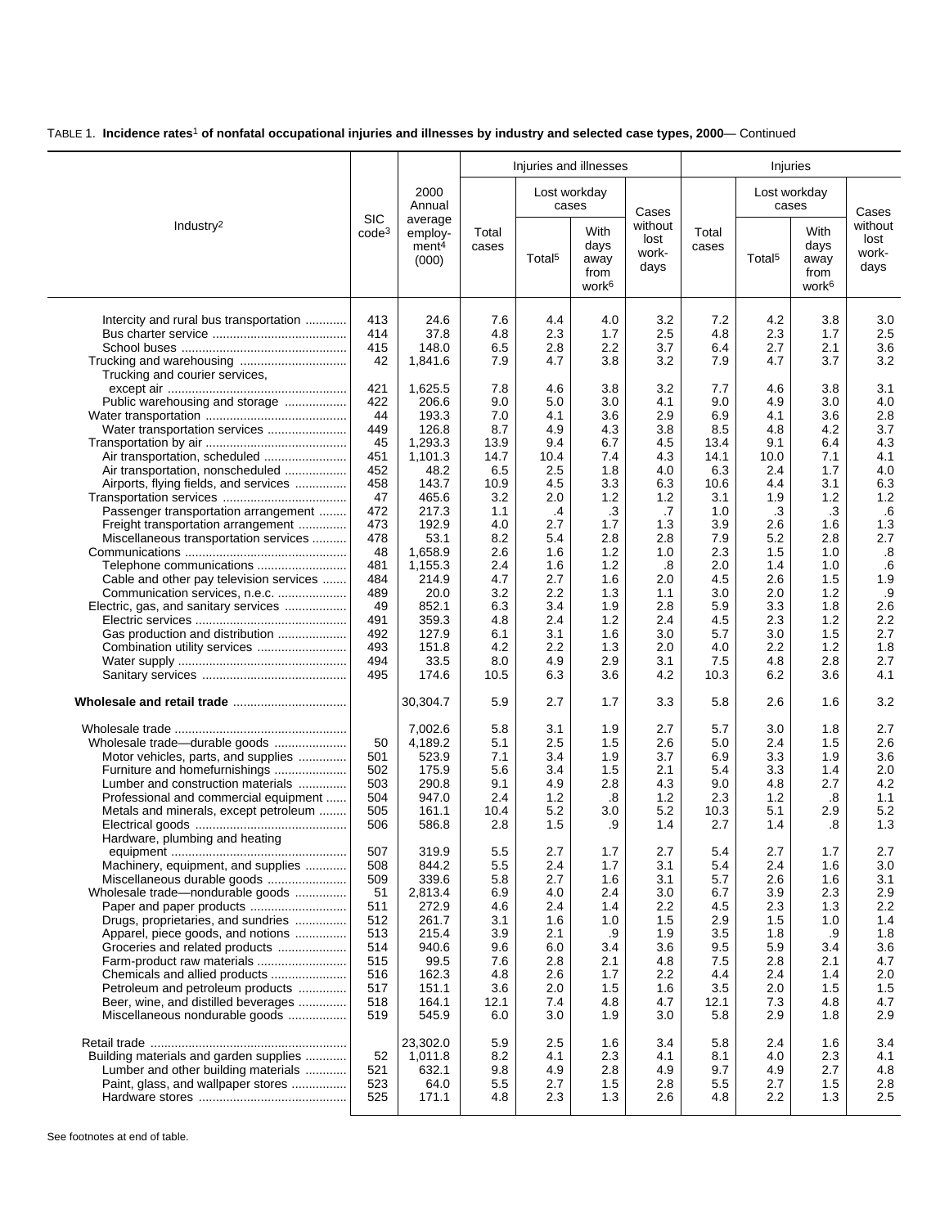|                                                                            |                                 |                                                  |                |                    | Injuries and illnesses                            |                                  |                |                    | Injuries                                          |                                  |
|----------------------------------------------------------------------------|---------------------------------|--------------------------------------------------|----------------|--------------------|---------------------------------------------------|----------------------------------|----------------|--------------------|---------------------------------------------------|----------------------------------|
|                                                                            |                                 | 2000<br>Annual                                   |                |                    | Lost workday<br>cases                             | Cases                            |                |                    | Lost workday<br>cases                             | Cases                            |
| Industry <sup>2</sup>                                                      | <b>SIC</b><br>code <sup>3</sup> | average<br>employ-<br>ment <sup>4</sup><br>(000) | Total<br>cases | Total <sup>5</sup> | With<br>days<br>away<br>from<br>work <sup>6</sup> | without<br>lost<br>work-<br>days | Total<br>cases | Total <sup>5</sup> | With<br>days<br>away<br>from<br>work <sup>6</sup> | without<br>lost<br>work-<br>days |
| Intercity and rural bus transportation                                     | 413                             | 24.6                                             | 7.6            | 4.4                | 4.0                                               | 3.2                              | 7.2            | 4.2                | 3.8                                               | 3.0                              |
|                                                                            | 414                             | 37.8                                             | 4.8            | 2.3                | 1.7                                               | 2.5                              | 4.8            | 2.3                | 1.7                                               | 2.5                              |
|                                                                            | 415                             | 148.0                                            | 6.5            | 2.8                | 2.2                                               | 3.7                              | 6.4            | 2.7                | 2.1                                               | 3.6                              |
| Trucking and courier services,                                             | 42                              | 1,841.6                                          | 7.9            | 4.7                | 3.8                                               | 3.2                              | 7.9            | 4.7                | 3.7                                               | 3.2                              |
| Public warehousing and storage                                             | 421<br>422                      | 1,625.5<br>206.6                                 | 7.8<br>9.0     | 4.6<br>5.0         | 3.8<br>3.0                                        | 3.2<br>4.1                       | 7.7<br>9.0     | 4.6<br>4.9         | 3.8<br>3.0                                        | 3.1<br>4.0                       |
|                                                                            | 44                              | 193.3                                            | 7.0            | 4.1                | 3.6                                               | 2.9                              | 6.9            | 4.1                | 3.6                                               | 2.8                              |
| Water transportation services                                              | 449                             | 126.8                                            | 8.7            | 4.9                | 4.3                                               | 3.8                              | 8.5            | 4.8                | 4.2                                               | 3.7                              |
|                                                                            | 45                              | 1,293.3                                          | 13.9           | 9.4                | 6.7                                               | 4.5                              | 13.4           | 9.1                | 6.4                                               | 4.3                              |
|                                                                            | 451                             | 1,101.3                                          | 14.7           | 10.4               | 7.4                                               | 4.3                              | 14.1           | 10.0               | 7.1                                               | 4.1                              |
| Air transportation, nonscheduled                                           | 452                             | 48.2                                             | 6.5            | 2.5                | 1.8                                               | 4.0                              | 6.3            | 2.4                | 1.7                                               | 4.0                              |
| Airports, flying fields, and services                                      | 458                             | 143.7                                            | 10.9           | 4.5                | 3.3                                               | 6.3                              | 10.6           | 4.4                | 3.1                                               | 6.3                              |
|                                                                            | 47                              | 465.6                                            | 3.2            | 2.0                | 1.2                                               | 1.2                              | 3.1            | 1.9                | 1.2                                               | 1.2<br>.6                        |
| Passenger transportation arrangement<br>Freight transportation arrangement | 472<br>473                      | 217.3<br>192.9                                   | 1.1<br>4.0     | .4<br>2.7          | .3<br>1.7                                         | .7<br>1.3                        | 1.0<br>3.9     | .3<br>2.6          | .3<br>1.6                                         | 1.3                              |
| Miscellaneous transportation services                                      | 478                             | 53.1                                             | 8.2            | 5.4                | 2.8                                               | 2.8                              | 7.9            | 5.2                | 2.8                                               | 2.7                              |
|                                                                            | 48                              | 1,658.9                                          | 2.6            | 1.6                | 1.2                                               | 1.0                              | 2.3            | 1.5                | 1.0                                               | .8                               |
| Telephone communications                                                   | 481                             | 1,155.3                                          | 2.4            | 1.6                | 1.2                                               | .8                               | 2.0            | 1.4                | 1.0                                               | .6                               |
| Cable and other pay television services                                    | 484                             | 214.9                                            | 4.7            | 2.7                | 1.6                                               | 2.0                              | 4.5            | 2.6                | 1.5                                               | 1.9                              |
| Communication services, n.e.c.                                             | 489                             | 20.0                                             | 3.2            | 2.2                | 1.3                                               | 1.1                              | 3.0            | 2.0                | 1.2                                               | .9                               |
| Electric, gas, and sanitary services                                       | 49                              | 852.1                                            | 6.3            | 3.4                | 1.9                                               | 2.8                              | 5.9            | 3.3                | 1.8                                               | 2.6                              |
| Gas production and distribution                                            | 491<br>492                      | 359.3<br>127.9                                   | 4.8<br>6.1     | 2.4<br>3.1         | 1.2<br>1.6                                        | 2.4<br>3.0                       | 4.5<br>5.7     | 2.3<br>3.0         | 1.2<br>1.5                                        | 2.2<br>2.7                       |
|                                                                            | 493                             | 151.8                                            | 4.2            | 2.2                | 1.3                                               | 2.0                              | 4.0            | $2.2\,$            | 1.2                                               | 1.8                              |
|                                                                            | 494                             | 33.5                                             | 8.0            | 4.9                | 2.9                                               | 3.1                              | 7.5            | 4.8                | 2.8                                               | 2.7                              |
|                                                                            | 495                             | 174.6                                            | 10.5           | 6.3                | 3.6                                               | 4.2                              | 10.3           | 6.2                | 3.6                                               | 4.1                              |
|                                                                            |                                 | 30,304.7                                         | 5.9            | 2.7                | 1.7                                               | 3.3                              | 5.8            | 2.6                | 1.6                                               | 3.2                              |
|                                                                            |                                 | 7,002.6                                          | 5.8            | 3.1                | 1.9                                               | 2.7                              | 5.7            | 3.0                | 1.8                                               | 2.7                              |
| Wholesale trade—durable goods                                              | 50                              | 4,189.2                                          | 5.1            | 2.5                | 1.5                                               | 2.6                              | 5.0            | 2.4                | 1.5                                               | 2.6                              |
| Motor vehicles, parts, and supplies                                        | 501                             | 523.9                                            | 7.1            | 3.4                | 1.9                                               | 3.7                              | 6.9            | 3.3                | 1.9                                               | 3.6                              |
| Furniture and homefurnishings                                              | 502                             | 175.9                                            | 5.6            | 3.4                | 1.5                                               | 2.1                              | 5.4            | 3.3                | 1.4                                               | 2.0                              |
| Lumber and construction materials<br>Professional and commercial equipment | 503<br>504                      | 290.8<br>947.0                                   | 9.1<br>2.4     | 4.9<br>1.2         | 2.8<br>.8                                         | 4.3<br>1.2                       | 9.0<br>2.3     | 4.8<br>1.2         | 2.7<br>.8                                         | 4.2<br>1.1                       |
| Metals and minerals, except petroleum                                      | 505                             | 161.1                                            | 10.4           | 5.2                | 3.0                                               | 5.2                              | 10.3           | 5.1                | 2.9                                               | 5.2                              |
|                                                                            | 506                             | 586.8                                            | 2.8            | 1.5                | .9                                                | 1.4                              | 2.7            | 1.4                | .8                                                | 1.3                              |
| Hardware, plumbing and heating                                             |                                 |                                                  |                |                    |                                                   |                                  |                |                    |                                                   |                                  |
|                                                                            | 507                             | 319.9                                            | 5.5            | 2.7                | 1.7                                               | 2.7                              | 5.4            | 2.7                | 1.7                                               | 2.7                              |
| Machinery, equipment, and supplies                                         | 508                             | 844.2                                            | 5.5            | 2.4                | 1.7                                               | 3.1                              | 5.4            | 2.4                | 1.6                                               | 3.0                              |
| Miscellaneous durable goods                                                | 509                             | 339.6                                            | 5.8            | 2.7                | 1.6                                               | 3.1                              | 5.7            | 2.6                | 1.6                                               | 3.1                              |
| Wholesale trade-nondurable goods                                           | 51<br>511                       | 2,813.4<br>272.9                                 | 6.9<br>4.6     | 4.0<br>2.4         | 2.4<br>1.4                                        | 3.0<br>2.2                       | 6.7<br>4.5     | 3.9<br>2.3         | 2.3<br>1.3                                        | 2.9<br>2.2                       |
| Drugs, proprietaries, and sundries                                         | 512                             | 261.7                                            | 3.1            | 1.6                | 1.0                                               | 1.5                              | 2.9            | 1.5                | 1.0                                               | 1.4                              |
| Apparel, piece goods, and notions                                          | 513                             | 215.4                                            | 3.9            | 2.1                | .9                                                | 1.9                              | 3.5            | 1.8                | .9                                                | 1.8                              |
| Groceries and related products                                             | 514                             | 940.6                                            | 9.6            | 6.0                | 3.4                                               | 3.6                              | 9.5            | 5.9                | 3.4                                               | 3.6                              |
| Farm-product raw materials                                                 | 515                             | 99.5                                             | 7.6            | 2.8                | 2.1                                               | 4.8                              | 7.5            | 2.8                | 2.1                                               | 4.7                              |
| Chemicals and allied products                                              | 516                             | 162.3                                            | 4.8            | 2.6                | 1.7                                               | 2.2                              | 4.4            | 2.4                | 1.4                                               | 2.0                              |
| Petroleum and petroleum products<br>Beer, wine, and distilled beverages    | 517<br>518                      | 151.1<br>164.1                                   | 3.6<br>12.1    | 2.0<br>7.4         | 1.5<br>4.8                                        | 1.6<br>4.7                       | 3.5<br>12.1    | 2.0<br>7.3         | 1.5<br>4.8                                        | 1.5<br>4.7                       |
| Miscellaneous nondurable goods                                             | 519                             | 545.9                                            | 6.0            | 3.0                | 1.9                                               | 3.0                              | 5.8            | 2.9                | 1.8                                               | 2.9                              |
|                                                                            |                                 | 23,302.0                                         | 5.9            | 2.5                | 1.6                                               | 3.4                              | 5.8            | 2.4                | 1.6                                               | 3.4                              |
| Building materials and garden supplies                                     | 52                              | 1,011.8                                          | 8.2            | 4.1                | 2.3                                               | 4.1                              | 8.1            | 4.0                | 2.3                                               | 4.1                              |
| Lumber and other building materials                                        | 521<br>523                      | 632.1<br>64.0                                    | 9.8<br>5.5     | 4.9<br>2.7         | 2.8<br>1.5                                        | 4.9<br>2.8                       | 9.7<br>5.5     | 4.9<br>2.7         | 2.7<br>1.5                                        | 4.8<br>2.8                       |
| Paint, glass, and wallpaper stores                                         | 525                             | 171.1                                            | 4.8            | 2.3                | 1.3                                               | 2.6                              | 4.8            | 2.2                | 1.3                                               | 2.5                              |
|                                                                            |                                 |                                                  |                |                    |                                                   |                                  |                |                    |                                                   |                                  |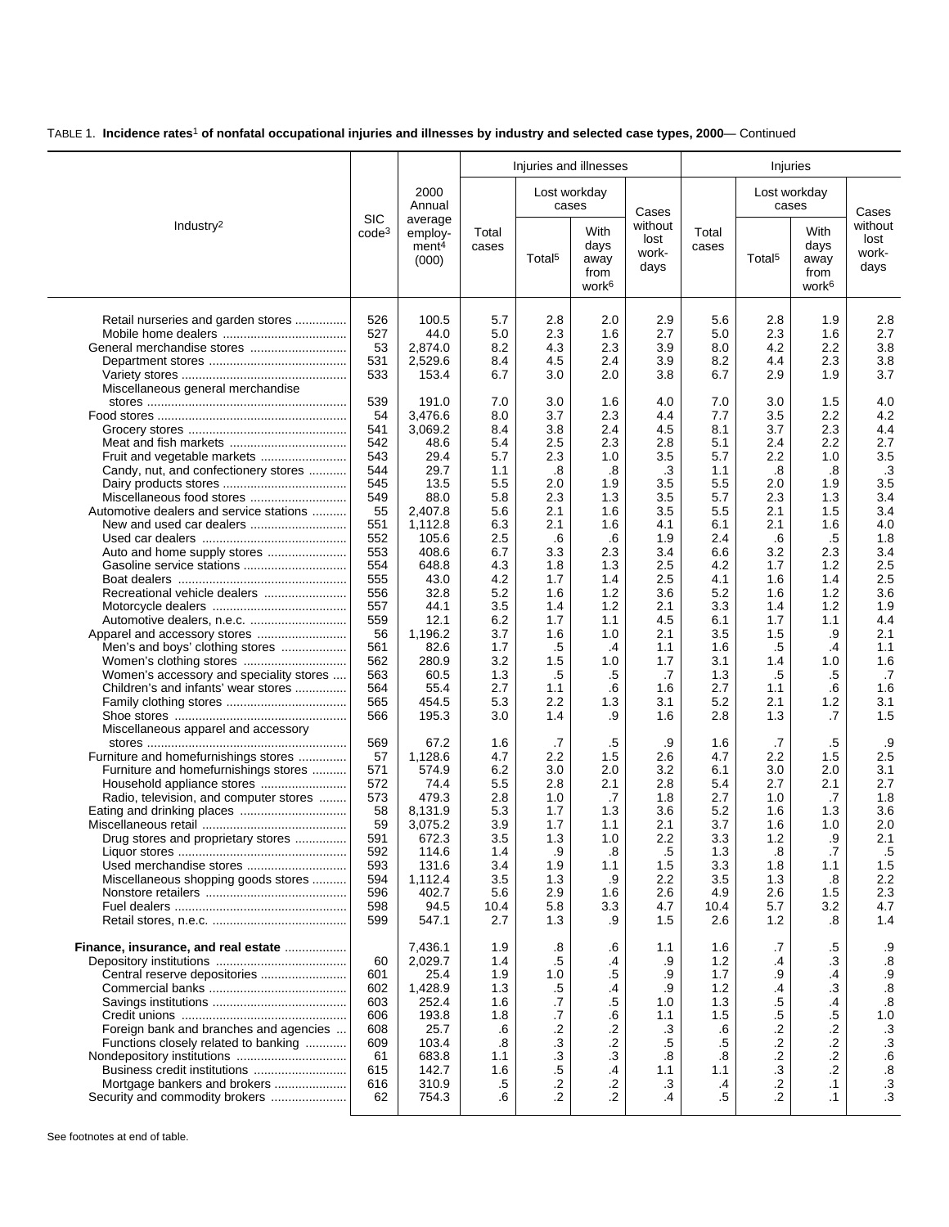|                                                                      |                                 |                                                  |                |                    | Injuries and illnesses                            |                                  |                |                       | Injuries                                          |                                                        |
|----------------------------------------------------------------------|---------------------------------|--------------------------------------------------|----------------|--------------------|---------------------------------------------------|----------------------------------|----------------|-----------------------|---------------------------------------------------|--------------------------------------------------------|
|                                                                      |                                 | 2000<br>Annual                                   |                |                    | Lost workday<br>cases                             | Cases                            |                | Lost workday<br>cases |                                                   | Cases                                                  |
| Industry <sup>2</sup>                                                | <b>SIC</b><br>code <sup>3</sup> | average<br>employ-<br>ment <sup>4</sup><br>(000) | Total<br>cases | Total <sup>5</sup> | With<br>days<br>away<br>from<br>work <sup>6</sup> | without<br>lost<br>work-<br>days | Total<br>cases | Total <sup>5</sup>    | With<br>days<br>away<br>from<br>work <sup>6</sup> | without<br>lost<br>work-<br>days                       |
| Retail nurseries and garden stores                                   | 526                             | 100.5                                            | 5.7            | 2.8                | 2.0                                               | 2.9                              | 5.6            | 2.8                   | 1.9                                               | 2.8                                                    |
|                                                                      | 527                             | 44.0                                             | 5.0            | 2.3                | 1.6                                               | 2.7                              | 5.0            | 2.3                   | 1.6                                               | 2.7                                                    |
|                                                                      | 53                              | 2,874.0                                          | 8.2            | 4.3                | 2.3                                               | 3.9                              | 8.0            | 4.2                   | 2.2                                               | 3.8                                                    |
|                                                                      | 531                             | 2,529.6                                          | 8.4            | 4.5                | 2.4                                               | 3.9                              | 8.2            | 4.4                   | 2.3                                               | 3.8                                                    |
|                                                                      | 533                             | 153.4                                            | 6.7            | 3.0                | 2.0                                               | 3.8                              | 6.7            | 2.9                   | 1.9                                               | 3.7                                                    |
| Miscellaneous general merchandise                                    |                                 |                                                  |                |                    |                                                   |                                  |                |                       |                                                   |                                                        |
|                                                                      | 539                             | 191.0                                            | 7.0            | 3.0                | 1.6                                               | 4.0                              | 7.0            | 3.0                   | 1.5                                               | 4.0                                                    |
|                                                                      | 54                              | 3,476.6                                          | 8.0            | 3.7                | 2.3                                               | 4.4                              | 7.7            | 3.5                   | 2.2                                               | 4.2                                                    |
|                                                                      | 541                             | 3,069.2                                          | 8.4            | 3.8                | 2.4                                               | 4.5                              | 8.1            | 3.7                   | 2.3                                               | 4.4                                                    |
|                                                                      | 542                             | 48.6                                             | 5.4            | 2.5                | 2.3                                               | 2.8                              | 5.1            | 2.4                   | 2.2                                               | 2.7                                                    |
| Fruit and vegetable markets<br>Candy, nut, and confectionery stores  | 543<br>544                      | 29.4<br>29.7                                     | 5.7<br>1.1     | 2.3<br>.8          | 1.0<br>.8                                         | 3.5<br>.3                        | 5.7<br>1.1     | 2.2<br>.8             | 1.0<br>.8                                         | 3.5<br>.3                                              |
|                                                                      | 545                             | 13.5                                             | 5.5            | 2.0                | 1.9                                               | 3.5                              | 5.5            | 2.0                   | 1.9                                               | 3.5                                                    |
|                                                                      | 549                             | 88.0                                             | 5.8            | 2.3                | 1.3                                               | 3.5                              | 5.7            | 2.3                   | 1.3                                               | 3.4                                                    |
| Automotive dealers and service stations                              | 55                              | 2,407.8                                          | 5.6            | 2.1                | 1.6                                               | 3.5                              | 5.5            | 2.1                   | 1.5                                               | 3.4                                                    |
|                                                                      | 551                             | 1,112.8                                          | 6.3            | 2.1                | 1.6                                               | 4.1                              | 6.1            | 2.1                   | 1.6                                               | 4.0                                                    |
|                                                                      | 552                             | 105.6                                            | 2.5            | .6                 | .6                                                | 1.9                              | 2.4            | .6                    | .5                                                | 1.8                                                    |
| Auto and home supply stores                                          | 553                             | 408.6                                            | 6.7            | 3.3                | 2.3                                               | 3.4                              | 6.6            | 3.2                   | 2.3                                               | 3.4                                                    |
| Gasoline service stations                                            | 554                             | 648.8                                            | 4.3            | 1.8                | 1.3                                               | 2.5                              | 4.2            | 1.7                   | 1.2                                               | 2.5                                                    |
|                                                                      | 555                             | 43.0                                             | 4.2            | 1.7                | 1.4                                               | 2.5                              | 4.1            | 1.6                   | 1.4                                               | 2.5                                                    |
|                                                                      | 556                             | 32.8                                             | 5.2            | 1.6                | 1.2                                               | 3.6                              | 5.2            | 1.6                   | 1.2                                               | 3.6                                                    |
|                                                                      | 557                             | 44.1                                             | 3.5            | 1.4                | 1.2                                               | 2.1                              | 3.3            | 1.4                   | 1.2                                               | 1.9                                                    |
| Automotive dealers, n.e.c.                                           | 559                             | 12.1                                             | 6.2            | 1.7                | 1.1                                               | 4.5                              | 6.1            | 1.7                   | 1.1                                               | 4.4                                                    |
| Apparel and accessory stores                                         | 56<br>561                       | 1,196.2<br>82.6                                  | 3.7<br>1.7     | 1.6<br>.5          | 1.0<br>.4                                         | 2.1<br>1.1                       | 3.5<br>1.6     | 1.5<br>.5             | .9<br>.4                                          | 2.1<br>1.1                                             |
| Men's and boys' clothing stores                                      | 562                             | 280.9                                            | 3.2            | 1.5                | 1.0                                               | 1.7                              | 3.1            | 1.4                   | 1.0                                               | 1.6                                                    |
| Women's accessory and speciality stores                              | 563                             | 60.5                                             | 1.3            | .5                 | .5                                                | .7                               | 1.3            | .5                    | .5                                                | .7                                                     |
| Children's and infants' wear stores                                  | 564                             | 55.4                                             | 2.7            | 1.1                | .6                                                | 1.6                              | 2.7            | 1.1                   | .6                                                | 1.6                                                    |
|                                                                      | 565                             | 454.5                                            | 5.3            | 2.2                | 1.3                                               | 3.1                              | 5.2            | 2.1                   | 1.2                                               | 3.1                                                    |
|                                                                      | 566                             | 195.3                                            | 3.0            | 1.4                | .9                                                | 1.6                              | 2.8            | 1.3                   | .7                                                | 1.5                                                    |
| Miscellaneous apparel and accessory                                  |                                 |                                                  |                |                    |                                                   |                                  |                |                       |                                                   |                                                        |
|                                                                      | 569                             | 67.2                                             | 1.6            | .7                 | .5                                                | .9                               | 1.6            | .7                    | .5                                                | .9                                                     |
| Furniture and homefurnishings stores                                 | 57                              | 1,128.6                                          | 4.7            | 2.2                | 1.5                                               | 2.6                              | 4.7            | 2.2                   | 1.5                                               | 2.5                                                    |
| Furniture and homefurnishings stores                                 | 571                             | 574.9                                            | 6.2            | 3.0                | 2.0                                               | 3.2                              | 6.1            | 3.0                   | 2.0                                               | 3.1                                                    |
| Household appliance stores<br>Radio, television, and computer stores | 572<br>573                      | 74.4<br>479.3                                    | 5.5<br>2.8     | 2.8<br>1.0         | 2.1<br>.7                                         | 2.8<br>1.8                       | 5.4<br>2.7     | 2.7<br>1.0            | 2.1<br>.7                                         | 2.7<br>1.8                                             |
|                                                                      | 58                              | 8,131.9                                          | 5.3            | 1.7                | 1.3                                               | 3.6                              | 5.2            | 1.6                   | 1.3                                               | 3.6                                                    |
|                                                                      | 59                              | 3,075.2                                          | 3.9            | 1.7                | 1.1                                               | 2.1                              | 3.7            | 1.6                   | 1.0                                               | 2.0                                                    |
| Drug stores and proprietary stores                                   | 591                             | 672.3                                            | 3.5            | 1.3                | 1.0                                               | 2.2                              | 3.3            | 1.2                   | .9                                                | 2.1                                                    |
|                                                                      | 592                             | 114.6                                            | 1.4            | .9                 | .8                                                | .5                               | 1.3            | .8                    | .7                                                | .5                                                     |
|                                                                      | 593                             | 131.6                                            | 3.4            | 1.9                | 1.1                                               | 1.5                              | 3.3            | 1.8                   | 1.1                                               | 1.5                                                    |
| Miscellaneous shopping goods stores                                  | 594                             | 1,112.4                                          | 3.5            | 1.3                | .9                                                | 2.2                              | 3.5            | 1.3                   | .8                                                | 2.2                                                    |
|                                                                      | 596                             | 402.7                                            | 5.6            | 2.9                | 1.6                                               | 2.6                              | 4.9            | 2.6                   | 1.5                                               | 2.3                                                    |
|                                                                      | 598                             | 94.5                                             | 10.4           | 5.8                | 3.3                                               | 4.7                              | 10.4           | 5.7                   | 3.2                                               | 4.7                                                    |
|                                                                      | 599                             | 547.1                                            | 2.7            | 1.3                | .9                                                | 1.5                              | 2.6            | 1.2                   | .8                                                | 1.4                                                    |
| Finance, insurance, and real estate                                  |                                 | 7,436.1                                          | 1.9            | .8                 | .6                                                | 1.1                              | 1.6            | .7                    | .5                                                | .9                                                     |
|                                                                      | 60                              | 2,029.7                                          | 1.4            | $.5\,$             | .4                                                | .9                               | 1.2            | .4                    | $\cdot$ 3                                         | $\boldsymbol{.8}$                                      |
| Central reserve depositories                                         | 601                             | 25.4                                             | 1.9            | 1.0                | .5                                                | .9                               | 1.7            | .9                    | $\cdot$                                           | .9                                                     |
|                                                                      | 602                             | 1,428.9                                          | 1.3            | $.5\,$             | $\cdot$                                           | .9                               | 1.2            | .4                    | .3                                                | ${\bf .8}$                                             |
|                                                                      | 603                             | 252.4                                            | 1.6            | .7                 | .5                                                | 1.0                              | 1.3            | $.5\,$                | $\cdot$                                           | .8                                                     |
|                                                                      | 606                             | 193.8                                            | 1.8            | $\cdot$            | .6                                                | 1.1                              | 1.5            | $.5\,$                | $.5\,$                                            | $1.0\,$                                                |
| Foreign bank and branches and agencies                               | 608                             | 25.7                                             | .6             | $\cdot$            | .2                                                | .3                               | .6             | .2                    | $\cdot$                                           | $.3\,$                                                 |
| Functions closely related to banking                                 | 609                             | 103.4                                            | .8             | $\cdot$            | $\cdot$                                           | .5                               | .5             | $\cdot$               | $.2\,$                                            | ${\bf .3}$                                             |
|                                                                      | 61                              | 683.8                                            | 1.1            | $\cdot$ 3          | .3                                                | .8                               | .8             | $.2\phantom{0}$       | $\cdot$                                           | ${\bf .6}$                                             |
| Business credit institutions                                         | 615<br>616                      | 142.7                                            | 1.6            | $.5\,$<br>$\cdot$  | .4<br>$\cdot$                                     | 1.1                              | 1.1            | .3<br>$\cdot$ .2      | $\cdot$<br>$\cdot$ 1                              | $.\overline{\begin{array}{c} 8 \\ 3 \\ 3 \end{array}}$ |
| Mortgage bankers and brokers<br>Security and commodity brokers       | 62                              | 310.9<br>754.3                                   | .5<br>.6       | $\cdot$ .2         | $\cdot$ .2                                        | .3<br>.4                         | .4<br>.5       | $\cdot$               | .1                                                |                                                        |
|                                                                      |                                 |                                                  |                |                    |                                                   |                                  |                |                       |                                                   |                                                        |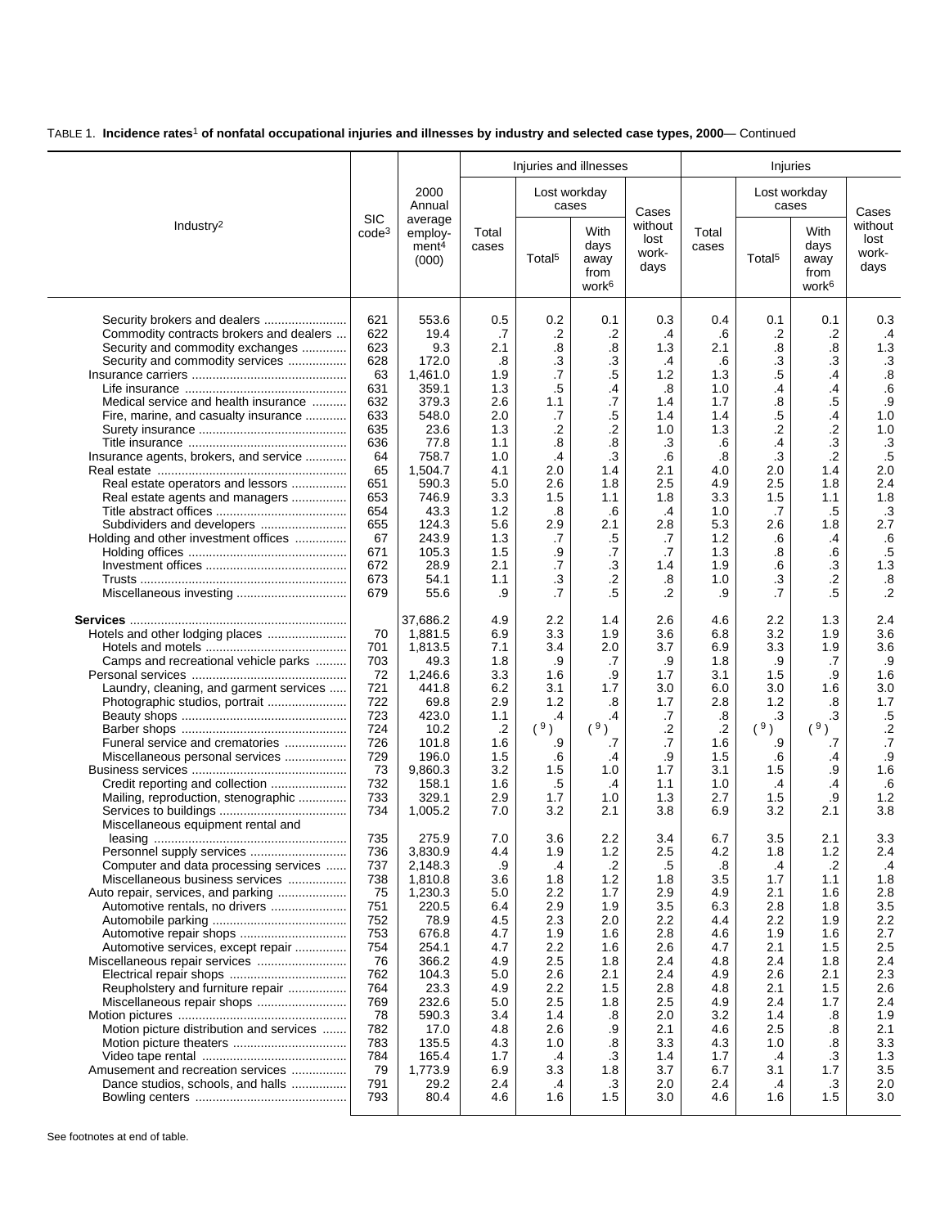|                                                                                                                                                                                                                                                                                                                                                                                                                                                                                                                                                                                                                                                                                                                                                                                                                                                                                                                                                                                                                                                                        |                                                                                                                                             |                                                                                                                                                                                       |                                                                                                                                              |                                                                                                                                                                                                         | Injuries and illnesses                                                                                                                  |                                                                                                                                         |                                                                                                                                            |                                                                                                                                                  | Injuries                                                                                                                                                           |                                                                                                                                                                             |
|------------------------------------------------------------------------------------------------------------------------------------------------------------------------------------------------------------------------------------------------------------------------------------------------------------------------------------------------------------------------------------------------------------------------------------------------------------------------------------------------------------------------------------------------------------------------------------------------------------------------------------------------------------------------------------------------------------------------------------------------------------------------------------------------------------------------------------------------------------------------------------------------------------------------------------------------------------------------------------------------------------------------------------------------------------------------|---------------------------------------------------------------------------------------------------------------------------------------------|---------------------------------------------------------------------------------------------------------------------------------------------------------------------------------------|----------------------------------------------------------------------------------------------------------------------------------------------|---------------------------------------------------------------------------------------------------------------------------------------------------------------------------------------------------------|-----------------------------------------------------------------------------------------------------------------------------------------|-----------------------------------------------------------------------------------------------------------------------------------------|--------------------------------------------------------------------------------------------------------------------------------------------|--------------------------------------------------------------------------------------------------------------------------------------------------|--------------------------------------------------------------------------------------------------------------------------------------------------------------------|-----------------------------------------------------------------------------------------------------------------------------------------------------------------------------|
|                                                                                                                                                                                                                                                                                                                                                                                                                                                                                                                                                                                                                                                                                                                                                                                                                                                                                                                                                                                                                                                                        |                                                                                                                                             | 2000<br>Annual                                                                                                                                                                        |                                                                                                                                              |                                                                                                                                                                                                         | Lost workday<br>cases                                                                                                                   | Cases                                                                                                                                   |                                                                                                                                            |                                                                                                                                                  | Lost workday<br>cases                                                                                                                                              | Cases                                                                                                                                                                       |
| Industry <sup>2</sup>                                                                                                                                                                                                                                                                                                                                                                                                                                                                                                                                                                                                                                                                                                                                                                                                                                                                                                                                                                                                                                                  | <b>SIC</b><br>code <sup>3</sup>                                                                                                             | average<br>employ-<br>ment <sup>4</sup><br>(000)                                                                                                                                      | Total<br>cases                                                                                                                               | Total <sup>5</sup>                                                                                                                                                                                      | With<br>days<br>away<br>from<br>work <sup>6</sup>                                                                                       | without<br>lost<br>work-<br>days                                                                                                        | Total<br>cases                                                                                                                             | Total <sup>5</sup>                                                                                                                               | With<br>days<br>away<br>from<br>work <sup>6</sup>                                                                                                                  | without<br>lost<br>work-<br>days                                                                                                                                            |
| Security brokers and dealers<br>Commodity contracts brokers and dealers<br>Security and commodity exchanges<br>Security and commodity services<br>Medical service and health insurance<br>Fire, marine, and casualty insurance<br>Insurance agents, brokers, and service<br>Real estate operators and lessors<br>Real estate agents and managers<br>Subdividers and developers<br>Holding and other investment offices                                                                                                                                                                                                                                                                                                                                                                                                                                                                                                                                                                                                                                                 | 621<br>622<br>623<br>628<br>63<br>631<br>632<br>633<br>635<br>636<br>64<br>65<br>651<br>653<br>654<br>655<br>67<br>671<br>672<br>673<br>679 | 553.6<br>19.4<br>9.3<br>172.0<br>1,461.0<br>359.1<br>379.3<br>548.0<br>23.6<br>77.8<br>758.7<br>1,504.7<br>590.3<br>746.9<br>43.3<br>124.3<br>243.9<br>105.3<br>28.9<br>54.1<br>55.6  | 0.5<br>.7<br>2.1<br>.8<br>1.9<br>1.3<br>2.6<br>2.0<br>1.3<br>1.1<br>1.0<br>4.1<br>5.0<br>3.3<br>1.2<br>5.6<br>1.3<br>1.5<br>2.1<br>1.1<br>.9 | 0.2<br>$\cdot$<br>$\boldsymbol{.8}$<br>$\cdot$ 3<br>$\cdot$<br>$.5\,$<br>1.1<br>.7<br>$\cdot$ .2<br>$\boldsymbol{.8}$<br>$\cdot$<br>2.0<br>2.6<br>1.5<br>.8<br>2.9<br>.7<br>.9<br>.7<br>$\cdot$ 3<br>.7 | 0.1<br>.2<br>.8<br>.3<br>.5<br>.4<br>$\cdot$ 7<br>.5<br>.2<br>.8<br>.3<br>1.4<br>1.8<br>1.1<br>.6<br>2.1<br>.5<br>.7<br>.3<br>.2<br>.5  | 0.3<br>.4<br>1.3<br>.4<br>1.2<br>.8<br>1.4<br>1.4<br>1.0<br>.3<br>.6<br>2.1<br>2.5<br>1.8<br>.4<br>2.8<br>.7<br>.7<br>1.4<br>.8<br>.2   | 0.4<br>.6<br>2.1<br>.6<br>1.3<br>1.0<br>1.7<br>1.4<br>1.3<br>.6<br>.8<br>4.0<br>4.9<br>3.3<br>1.0<br>5.3<br>1.2<br>1.3<br>1.9<br>1.0<br>.9 | 0.1<br>.2<br>.8<br>.3<br>.5<br>$\cdot$<br>.8<br>.5<br>$\overline{2}$<br>.4<br>.3<br>2.0<br>2.5<br>1.5<br>.7<br>2.6<br>.6<br>.8<br>.6<br>.3<br>.7 | 0.1<br>.2<br>$\boldsymbol{.8}$<br>.3<br>$\cdot$<br>.4<br>.5<br>.4<br>$\cdot$<br>.3<br>$\cdot$<br>1.4<br>1.8<br>1.1<br>.5<br>1.8<br>.4<br>.6<br>.3<br>$\cdot$<br>.5 | 0.3<br>$\cdot$<br>1.3<br>.3<br>$\boldsymbol{.8}$<br>.6<br>.9<br>1.0<br>1.0<br>.3<br>$.5\,$<br>2.0<br>2.4<br>1.8<br>.3<br>2.7<br>.6<br>.5<br>1.3<br>${\bf .8}$<br>$\cdot$ .2 |
| Camps and recreational vehicle parks<br>Laundry, cleaning, and garment services<br>Photographic studios, portrait<br>Funeral service and crematories<br>Miscellaneous personal services<br>Credit reporting and collection<br>Mailing, reproduction, stenographic                                                                                                                                                                                                                                                                                                                                                                                                                                                                                                                                                                                                                                                                                                                                                                                                      | 70<br>701<br>703<br>72<br>721<br>722<br>723<br>724<br>726<br>729<br>73<br>732<br>733<br>734                                                 | 37,686.2<br>1,881.5<br>1,813.5<br>49.3<br>1,246.6<br>441.8<br>69.8<br>423.0<br>10.2<br>101.8<br>196.0<br>9,860.3<br>158.1<br>329.1<br>1,005.2                                         | 4.9<br>6.9<br>7.1<br>1.8<br>3.3<br>6.2<br>2.9<br>1.1<br>.2<br>1.6<br>1.5<br>3.2<br>1.6<br>2.9<br>7.0                                         | 2.2<br>3.3<br>3.4<br>.9<br>1.6<br>3.1<br>1.2<br>.4<br>(9)<br>.9<br>.6<br>1.5<br>$.5\,$<br>1.7<br>3.2                                                                                                    | 1.4<br>1.9<br>2.0<br>.7<br>.9<br>1.7<br>.8<br>.4<br>(9)<br>.7<br>.4<br>1.0<br>$\cdot$<br>1.0<br>2.1                                     | 2.6<br>3.6<br>3.7<br>.9<br>1.7<br>3.0<br>1.7<br>.7<br>.2<br>.7<br>.9<br>1.7<br>1.1<br>1.3<br>3.8                                        | 4.6<br>6.8<br>6.9<br>1.8<br>3.1<br>6.0<br>2.8<br>.8<br>$\cdot$<br>1.6<br>1.5<br>3.1<br>1.0<br>2.7<br>6.9                                   | 2.2<br>3.2<br>3.3<br>.9<br>1.5<br>3.0<br>1.2<br>.3<br>(9)<br>.9<br>.6<br>1.5<br>.4<br>1.5<br>3.2                                                 | 1.3<br>1.9<br>1.9<br>.7<br>.9<br>1.6<br>.8<br>.3<br>(9)<br>.7<br>.4<br>.9<br>$\cdot$<br>.9<br>2.1                                                                  | 2.4<br>3.6<br>3.6<br>.9<br>1.6<br>3.0<br>1.7<br>.5<br>$.2\,$<br>$.7\,$<br>.9<br>1.6<br>.6<br>1.2<br>3.8                                                                     |
| Miscellaneous equipment rental and<br>$\begin{minipage}{.4\linewidth} \textbf{leasing} \end{minipage} \begin{minipage}{.4\linewidth} \textbf{leasing} \end{minipage} \begin{minipage}{.4\linewidth} \textbf{else} \end{minipage} \begin{minipage}{.4\linewidth} \textbf{else} \end{minipage} \begin{minipage}{.4\linewidth} \textbf{else} \end{minipage} \begin{minipage}{.4\linewidth} \textbf{else} \end{minipage} \begin{minipage}{.4\linewidth} \textbf{else} \end{minipage} \begin{minipage}{.4\linewidth} \textbf{else} \end{minipage} \begin{minipage}{.4\linewidth} \textbf{else}$<br>Personnel supply services<br>Computer and data processing services<br>Miscellaneous business services<br>Auto repair, services, and parking<br>Automotive rentals, no drivers<br>Automotive repair shops<br>Automotive services, except repair<br>Miscellaneous repair services<br>Reupholstery and furniture repair<br>Miscellaneous repair shops<br>Motion picture distribution and services<br>Amusement and recreation services<br>Dance studios, schools, and halls | 735<br>736<br>737<br>738<br>75<br>751<br>752<br>753<br>754<br>76<br>762<br>764<br>769<br>78<br>782<br>783<br>784<br>79<br>791<br>793        | 275.9<br>3,830.9<br>2,148.3<br>1,810.8<br>1,230.3<br>220.5<br>78.9<br>676.8<br>254.1<br>366.2<br>104.3<br>23.3<br>232.6<br>590.3<br>17.0<br>135.5<br>165.4<br>1,773.9<br>29.2<br>80.4 | 7.0<br>4.4<br>.9<br>3.6<br>5.0<br>6.4<br>4.5<br>4.7<br>4.7<br>4.9<br>5.0<br>4.9<br>5.0<br>3.4<br>4.8<br>4.3<br>1.7<br>6.9<br>2.4<br>4.6      | 3.6<br>1.9<br>.4<br>1.8<br>2.2<br>2.9<br>2.3<br>1.9<br>2.2<br>2.5<br>2.6<br>2.2<br>2.5<br>1.4<br>2.6<br>1.0<br>.4<br>3.3<br>.4<br>1.6                                                                   | 2.2<br>1.2<br>$\cdot$<br>1.2<br>1.7<br>1.9<br>2.0<br>1.6<br>1.6<br>1.8<br>2.1<br>1.5<br>1.8<br>.8<br>.9<br>.8<br>.3<br>1.8<br>.3<br>1.5 | 3.4<br>2.5<br>.5<br>1.8<br>2.9<br>3.5<br>2.2<br>2.8<br>2.6<br>2.4<br>2.4<br>2.8<br>2.5<br>2.0<br>2.1<br>3.3<br>1.4<br>3.7<br>2.0<br>3.0 | 6.7<br>4.2<br>.8<br>3.5<br>4.9<br>6.3<br>4.4<br>4.6<br>4.7<br>4.8<br>4.9<br>4.8<br>4.9<br>3.2<br>4.6<br>4.3<br>1.7<br>6.7<br>2.4<br>4.6    | 3.5<br>1.8<br>.4<br>1.7<br>2.1<br>2.8<br>2.2<br>1.9<br>2.1<br>2.4<br>2.6<br>2.1<br>2.4<br>1.4<br>2.5<br>1.0<br>.4<br>3.1<br>.4<br>1.6            | 2.1<br>1.2<br>.2<br>1.1<br>1.6<br>1.8<br>1.9<br>1.6<br>1.5<br>1.8<br>2.1<br>1.5<br>1.7<br>.8<br>.8<br>.8<br>.3<br>1.7<br>.3<br>1.5                                 | 3.3<br>2.4<br>.4<br>1.8<br>2.8<br>3.5<br>2.2<br>2.7<br>2.5<br>2.4<br>2.3<br>2.6<br>2.4<br>1.9<br>2.1<br>3.3<br>1.3<br>3.5<br>2.0<br>3.0                                     |